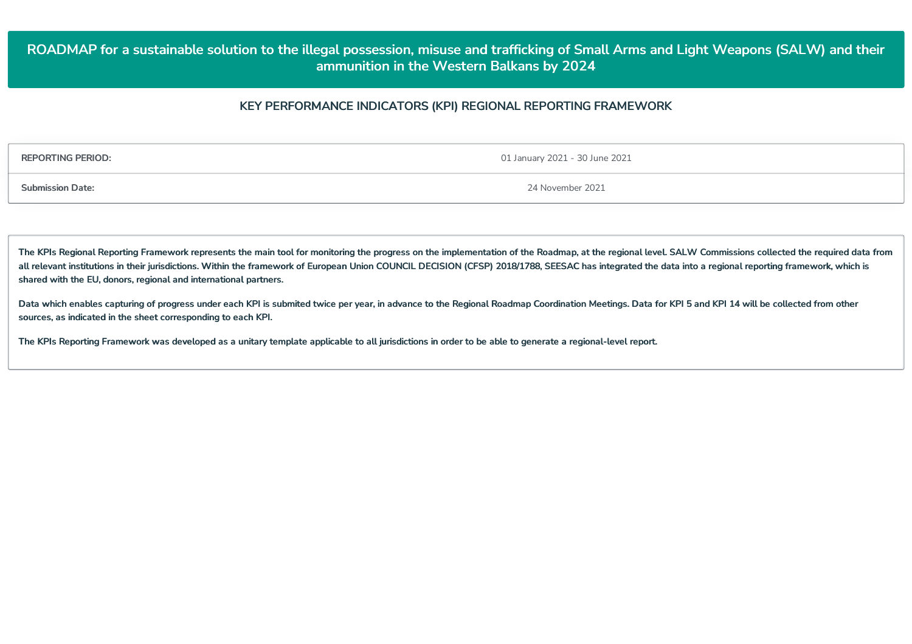# ROADMAP for a sustainable solution to the illegal possession, misuse and trafficking of Small Arms and Light Weapons (SALW) and their **ammunition in the Western Balkans by 2024**

## **KEY PERFORMANCE INDICATORS (KPI) REGIONAL REPORTING FRAMEWORK**

**REPORTING PERIOD:** 01 January 2021 - 30 June 2021

**Submission Date:** 24 November 2021

The KPIs Regional Reporting Framework represents the main tool for monitoring the progress on the implementation of the Roadmap, at the regional level. SALW Commissions collected the required data from all relevant institutions in their jurisdictions. Within the framework of European Union COUNCIL DECISION (CFSP) 2018/1788, SEESAC has integrated the data into a regional reporting framework, which is **shared with the EU, donors, regional and international partners.**

Data which enables capturing of progress under each KPI is submited twice per year, in advance to the Regional Roadmap Coordination Meetings. Data for KPI 5 and KPI 14 will be collected from other **sources,as indicated in the sheet corresponding to each KPI.**

The KPIs Reporting Framework was developed as a unitary template applicable to all jurisdictions in order to be able to generate a regional-level report.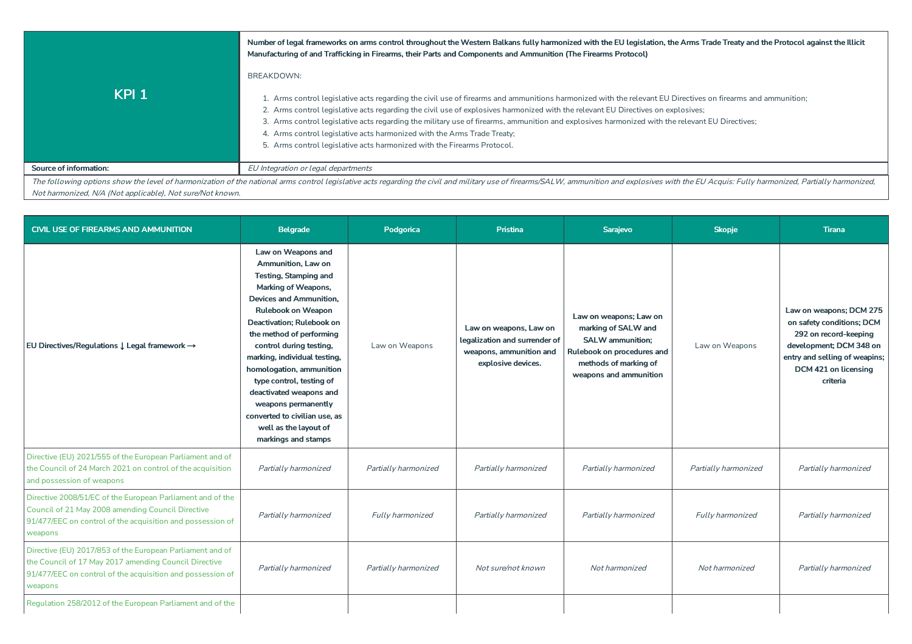|                                                           | Number of legal frameworks on arms control throughout the Western Balkans fully harmonized with the EU legislation, the Arms Trade Treaty and the Protocol against the Illicit<br>Manufacturing of and Trafficking in Firearms, their Parts and Components and Ammunition (The Firearms Protocol)                                                                                                                                                                                                                                                                                                                     |
|-----------------------------------------------------------|-----------------------------------------------------------------------------------------------------------------------------------------------------------------------------------------------------------------------------------------------------------------------------------------------------------------------------------------------------------------------------------------------------------------------------------------------------------------------------------------------------------------------------------------------------------------------------------------------------------------------|
| KPI <sub>1</sub>                                          | BREAKDOWN:<br>1. Arms control legislative acts regarding the civil use of firearms and ammunitions harmonized with the relevant EU Directives on firearms and ammunition;<br>2. Arms control legislative acts regarding the civil use of explosives harmonized with the relevant EU Directives on explosives;<br>3. Arms control legislative acts regarding the military use of firearms, ammunition and explosives harmonized with the relevant EU Directives;<br>4. Arms control legislative acts harmonized with the Arms Trade Treaty;<br>5. Arms control legislative acts harmonized with the Firearms Protocol. |
| <b>Source of information:</b>                             | EU Integration or legal departments                                                                                                                                                                                                                                                                                                                                                                                                                                                                                                                                                                                   |
|                                                           | The following options show the level of harmonization of the national arms control legislative acts regarding the civil and military use of firearms/SALW, ammunition and explosives with the EU Acquis: Fully harmonized, Par                                                                                                                                                                                                                                                                                                                                                                                        |
| Not harmonized, N/A (Not applicable), Not sure/Not known. |                                                                                                                                                                                                                                                                                                                                                                                                                                                                                                                                                                                                                       |

**CIVIL USE OF FIREARMS AND AMMUNITION Belgrade Podgorica Pristina Sarajevo Skopje Tirana EU Directives/Regulations** ↓ **Legal framework** → **Law on Weapons and Ammunition,Law on Testing, Stamping and Marking of Weapons, Devices and Ammunition, Rulebookon Weapon Deactivation; Rulebookon the method of performing control during testing, marking, individual testing, homologation, ammunition typecontrol, testing of deactivated weapons and weapons permanently converted tocivilian use, as well as thelayoutof markings and stamps** Law on Weapons **Law on weapons,Law on legalization and surrenderof weapons, ammunition and explosive devices. Law on weapons;Law on marking of SALW and SALW ammunition; Rulebookon procedures and methodsof marking of weapons and ammunition** Law on Weapons **Law on weapons; DCM 275 on safetyconditions; DCM 292 on record-keeping development; DCM 348 on entryand selling of weapins; DCM 421 on licensing criteria** Directive (EU) 2021/555 of the European Parliament and of the Council of 24 March 2021 on control of the acquisition and possession of weapons Partiallyharmonized Partiallyharmonized Partiallyharmonized Partiallyharmonized Partiallyharmonized Partiallyharmonized Directive 2008/51/EC of the European Parliament and of the Council of 21 May 2008 amending Council Directive 91/477/EEC on control of the acquisition and possession of weapons Partiallyharmonized Fullyharmonized Partiallyharmonized Partiallyharmonized Fullyharmonized Partiallyharmonized Directive (EU) 2017/853 of the European Parliament and of the Council of 17 May 2017 amending Council Directive 91/477/EEC on control of the acquisition and possession of weapons Partially harmonized **Partially harmonized** Not sure/not known Notharmonized Notharmonized Partially harmonized Regulation 258/2012 of the European Parliament and of the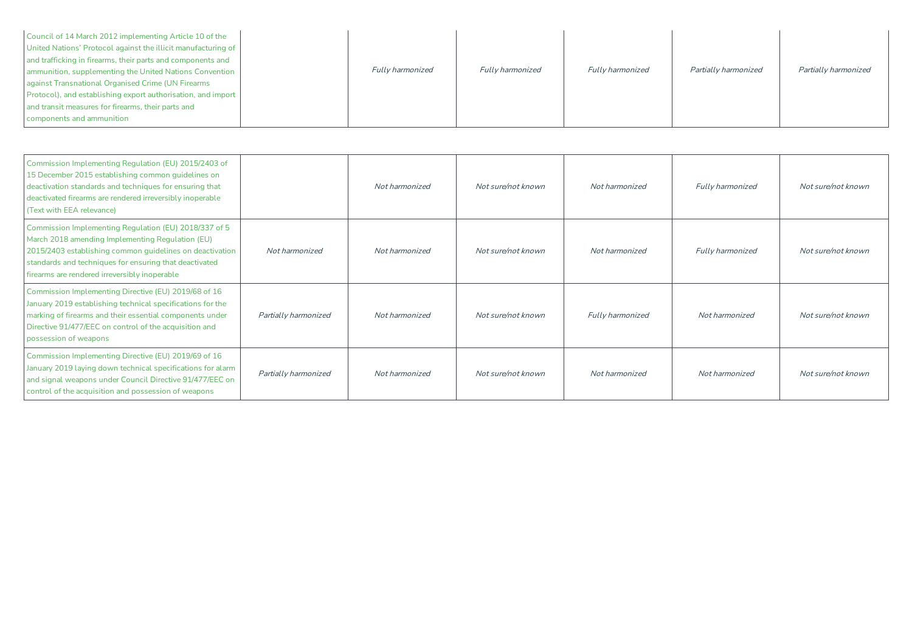| Council of 14 March 2012 implementing Article 10 of the<br>United Nations' Protocol against the illicit manufacturing of<br>and trafficking in firearms, their parts and components and<br>ammunition, supplementing the United Nations Convention<br>against Transnational Organised Crime (UN Firearms | <b>Fully harmonized</b> | <b>Fully harmonized</b> | <b>Fully harmonized</b> | Partially harmonized | Partially harmonized |
|----------------------------------------------------------------------------------------------------------------------------------------------------------------------------------------------------------------------------------------------------------------------------------------------------------|-------------------------|-------------------------|-------------------------|----------------------|----------------------|
| Protocol), and establishing export authorisation, and import<br>and transit measures for firearms, their parts and<br>components and ammunition                                                                                                                                                          |                         |                         |                         |                      |                      |

| Commission Implementing Regulation (EU) 2015/2403 of<br>15 December 2015 establishing common guidelines on<br>deactivation standards and techniques for ensuring that<br>deactivated firearms are rendered irreversibly inoperable<br>(Text with EEA relevance)                  |                      | Not harmonized | Not sure/not known | Not harmonized          | <b>Fully harmonized</b> | Not sure/not known |
|----------------------------------------------------------------------------------------------------------------------------------------------------------------------------------------------------------------------------------------------------------------------------------|----------------------|----------------|--------------------|-------------------------|-------------------------|--------------------|
| Commission Implementing Regulation (EU) 2018/337 of 5<br>March 2018 amending Implementing Regulation (EU)<br>2015/2403 establishing common guidelines on deactivation<br>standards and techniques for ensuring that deactivated<br>firearms are rendered irreversibly inoperable | Not harmonized       | Not harmonized | Not sure/not known | Not harmonized          | <b>Fully harmonized</b> | Not sure/not known |
| Commission Implementing Directive (EU) 2019/68 of 16<br>January 2019 establishing technical specifications for the<br>marking of firearms and their essential components under<br>Directive 91/477/EEC on control of the acquisition and<br>possession of weapons                | Partially harmonized | Not harmonized | Not sure/not known | <b>Fully harmonized</b> | Not harmonized          | Not sure/not known |
| Commission Implementing Directive (EU) 2019/69 of 16<br>January 2019 laying down technical specifications for alarm<br>and signal weapons under Council Directive 91/477/EEC on<br>control of the acquisition and possession of weapons                                          | Partially harmonized | Not harmonized | Not sure/not known | Not harmonized          | Not harmonized          | Not sure/not known |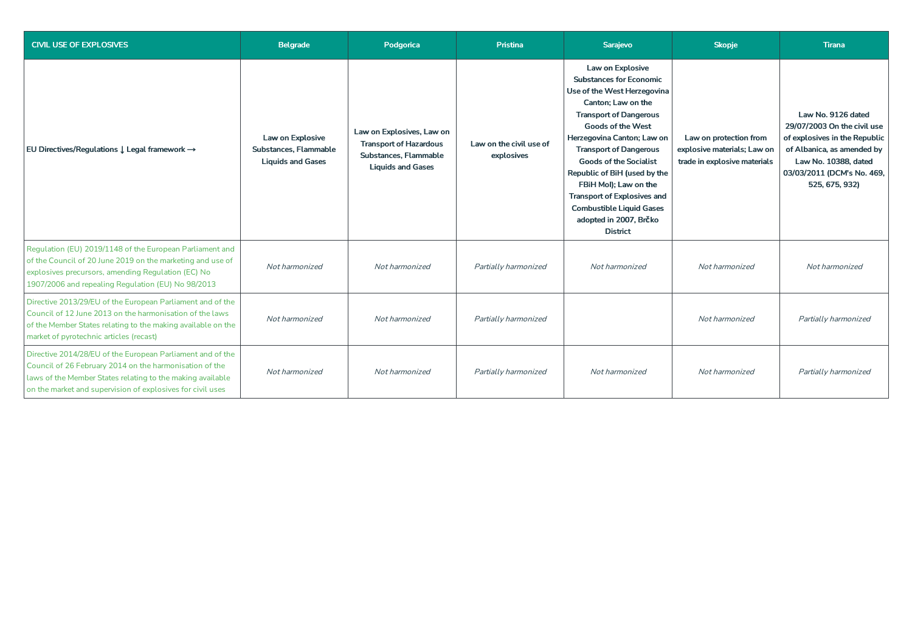| <b>CIVIL USE OF EXPLOSIVES</b>                                                                                                                                                                                                                    | <b>Belgrade</b>                                                       | Podgorica                                                                                                       | <b>Pristina</b>                       | Sarajevo                                                                                                                                                                                                                                                                                                                                                                                                                                            | <b>Skopje</b>                                                                         | <b>Tirana</b>                                                                                                                                                                            |  |
|---------------------------------------------------------------------------------------------------------------------------------------------------------------------------------------------------------------------------------------------------|-----------------------------------------------------------------------|-----------------------------------------------------------------------------------------------------------------|---------------------------------------|-----------------------------------------------------------------------------------------------------------------------------------------------------------------------------------------------------------------------------------------------------------------------------------------------------------------------------------------------------------------------------------------------------------------------------------------------------|---------------------------------------------------------------------------------------|------------------------------------------------------------------------------------------------------------------------------------------------------------------------------------------|--|
| EU Directives/Regulations ↓ Legal framework →                                                                                                                                                                                                     | Law on Explosive<br>Substances, Flammable<br><b>Liquids and Gases</b> | Law on Explosives, Law on<br><b>Transport of Hazardous</b><br>Substances. Flammable<br><b>Liquids and Gases</b> | Law on the civil use of<br>explosives | Law on Explosive<br><b>Substances for Economic</b><br>Use of the West Herzegovina<br>Canton; Law on the<br><b>Transport of Dangerous</b><br><b>Goods of the West</b><br>Herzegovina Canton; Law on<br><b>Transport of Dangerous</b><br><b>Goods of the Socialist</b><br>Republic of BiH (used by the<br>FBiH Mol); Law on the<br><b>Transport of Explosives and</b><br><b>Combustible Liquid Gases</b><br>adopted in 2007, Brčko<br><b>District</b> | Law on protection from<br>explosive materials; Law on<br>trade in explosive materials | Law No. 9126 dated<br>29/07/2003 On the civil use<br>of explosives in the Republic<br>of Albanica, as amended by<br>Law No. 10388, dated<br>03/03/2011 (DCM's No. 469,<br>525, 675, 932) |  |
| Regulation (EU) 2019/1148 of the European Parliament and<br>of the Council of 20 June 2019 on the marketing and use of<br>explosives precursors, amending Regulation (EC) No<br>1907/2006 and repealing Regulation (EU) No 98/2013                | Not harmonized                                                        | Not harmonized                                                                                                  | Partially harmonized                  | Not harmonized                                                                                                                                                                                                                                                                                                                                                                                                                                      | Not harmonized                                                                        | Not harmonized                                                                                                                                                                           |  |
| Directive 2013/29/EU of the European Parliament and of the<br>Council of 12 June 2013 on the harmonisation of the laws<br>of the Member States relating to the making available on the<br>market of pyrotechnic articles (recast)                 | Not harmonized                                                        | Not harmonized                                                                                                  | Partially harmonized                  |                                                                                                                                                                                                                                                                                                                                                                                                                                                     | Not harmonized                                                                        | Partially harmonized                                                                                                                                                                     |  |
| Directive 2014/28/EU of the European Parliament and of the<br>Council of 26 February 2014 on the harmonisation of the<br>laws of the Member States relating to the making available<br>on the market and supervision of explosives for civil uses | Not harmonized                                                        | Not harmonized                                                                                                  | Partially harmonized                  | Not harmonized                                                                                                                                                                                                                                                                                                                                                                                                                                      | Not harmonized                                                                        | Partially harmonized                                                                                                                                                                     |  |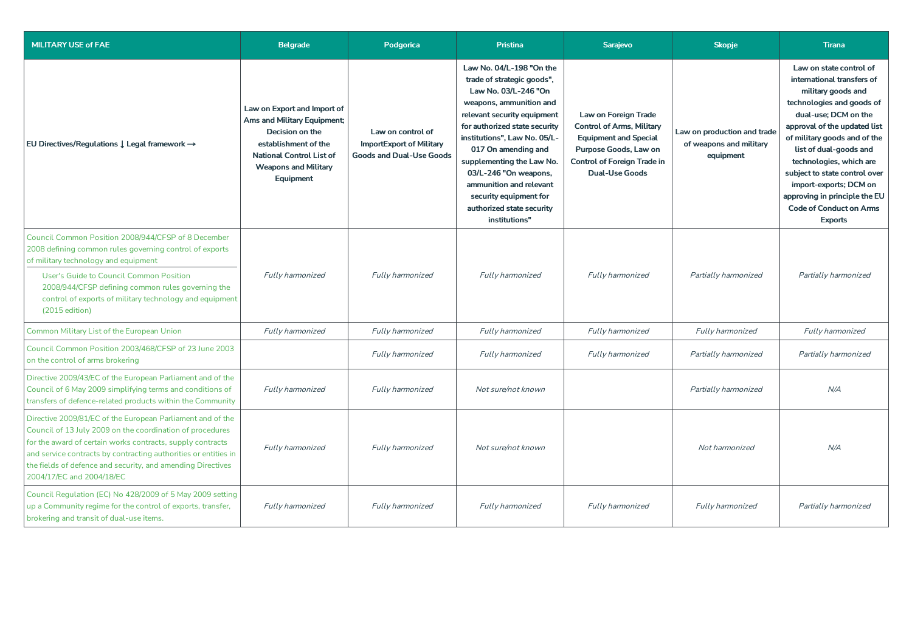| <b>MILITARY USE of FAE</b>                                                                                                                                                                                                                                                                                                                           | <b>Belgrade</b>                                                                                                                                                                      | Podgorica                                                                               | <b>Pristina</b>                                                                                                                                                                                                                                                                                                                                                                           | Sarajevo                                                                                                                                                                         | <b>Skopje</b>                                                       | <b>Tirana</b>                                                                                                                                                                                                                                                                                                                                                                                         |
|------------------------------------------------------------------------------------------------------------------------------------------------------------------------------------------------------------------------------------------------------------------------------------------------------------------------------------------------------|--------------------------------------------------------------------------------------------------------------------------------------------------------------------------------------|-----------------------------------------------------------------------------------------|-------------------------------------------------------------------------------------------------------------------------------------------------------------------------------------------------------------------------------------------------------------------------------------------------------------------------------------------------------------------------------------------|----------------------------------------------------------------------------------------------------------------------------------------------------------------------------------|---------------------------------------------------------------------|-------------------------------------------------------------------------------------------------------------------------------------------------------------------------------------------------------------------------------------------------------------------------------------------------------------------------------------------------------------------------------------------------------|
| EU Directives/Regulations $\downarrow$ Legal framework $\rightarrow$                                                                                                                                                                                                                                                                                 | Law on Export and Import of<br>Ams and Military Equipment;<br>Decision on the<br>establishment of the<br><b>National Control List of</b><br><b>Weapons and Military</b><br>Equipment | Law on control of<br><b>ImportExport of Military</b><br><b>Goods and Dual-Use Goods</b> | Law No. 04/L-198 "On the<br>trade of strategic goods",<br>Law No. 03/L-246 "On<br>weapons, ammunition and<br>relevant security equipment<br>for authorized state security<br>institutions", Law No. 05/L-<br>017 On amending and<br>supplementing the Law No.<br>03/L-246 "On weapons,<br>ammunition and relevant<br>security equipment for<br>authorized state security<br>institutions" | Law on Foreign Trade<br><b>Control of Arms, Military</b><br><b>Equipment and Special</b><br>Purpose Goods, Law on<br><b>Control of Foreign Trade in</b><br><b>Dual-Use Goods</b> | Law on production and trade<br>of weapons and military<br>equipment | Law on state control of<br>international transfers of<br>military goods and<br>technologies and goods of<br>dual-use; DCM on the<br>approval of the updated list<br>of military goods and of the<br>list of dual-goods and<br>technologies, which are<br>subject to state control over<br>import-exports; DCM on<br>approving in principle the EU<br><b>Code of Conduct on Arms</b><br><b>Exports</b> |
| Council Common Position 2008/944/CFSP of 8 December<br>2008 defining common rules governing control of exports<br>of military technology and equipment                                                                                                                                                                                               |                                                                                                                                                                                      |                                                                                         | Fully harmonized                                                                                                                                                                                                                                                                                                                                                                          | Fully harmonized                                                                                                                                                                 | Partially harmonized                                                | Partially harmonized                                                                                                                                                                                                                                                                                                                                                                                  |
| User's Guide to Council Common Position<br>2008/944/CFSP defining common rules governing the<br>control of exports of military technology and equipment<br>(2015 edition)                                                                                                                                                                            | Fully harmonized                                                                                                                                                                     | Fully harmonized                                                                        |                                                                                                                                                                                                                                                                                                                                                                                           |                                                                                                                                                                                  |                                                                     |                                                                                                                                                                                                                                                                                                                                                                                                       |
| Common Military List of the European Union                                                                                                                                                                                                                                                                                                           | Fully harmonized                                                                                                                                                                     | Fully harmonized                                                                        | Fully harmonized                                                                                                                                                                                                                                                                                                                                                                          | Fully harmonized                                                                                                                                                                 | Fully harmonized                                                    | Fully harmonized                                                                                                                                                                                                                                                                                                                                                                                      |
| Council Common Position 2003/468/CFSP of 23 June 2003<br>on the control of arms brokering                                                                                                                                                                                                                                                            |                                                                                                                                                                                      | Fully harmonized                                                                        | Fully harmonized                                                                                                                                                                                                                                                                                                                                                                          | Fully harmonized                                                                                                                                                                 | Partially harmonized                                                | Partially harmonized                                                                                                                                                                                                                                                                                                                                                                                  |
| Directive 2009/43/EC of the European Parliament and of the<br>Council of 6 May 2009 simplifying terms and conditions of<br>transfers of defence-related products within the Community                                                                                                                                                                | Fully harmonized                                                                                                                                                                     | Fully harmonized                                                                        | Not sure/not known                                                                                                                                                                                                                                                                                                                                                                        |                                                                                                                                                                                  | Partially harmonized                                                | N/A                                                                                                                                                                                                                                                                                                                                                                                                   |
| Directive 2009/81/EC of the European Parliament and of the<br>Council of 13 July 2009 on the coordination of procedures<br>for the award of certain works contracts, supply contracts<br>and service contracts by contracting authorities or entities in<br>the fields of defence and security, and amending Directives<br>2004/17/EC and 2004/18/EC | Fully harmonized                                                                                                                                                                     | Fully harmonized                                                                        | Not sure/not known                                                                                                                                                                                                                                                                                                                                                                        |                                                                                                                                                                                  | Not harmonized                                                      | N/A                                                                                                                                                                                                                                                                                                                                                                                                   |
| Council Regulation (EC) No 428/2009 of 5 May 2009 setting<br>up a Community regime for the control of exports, transfer,<br>brokering and transit of dual-use items.                                                                                                                                                                                 | Fully harmonized                                                                                                                                                                     | Fully harmonized                                                                        | Fully harmonized                                                                                                                                                                                                                                                                                                                                                                          | Fully harmonized                                                                                                                                                                 | Fully harmonized                                                    | Partially harmonized                                                                                                                                                                                                                                                                                                                                                                                  |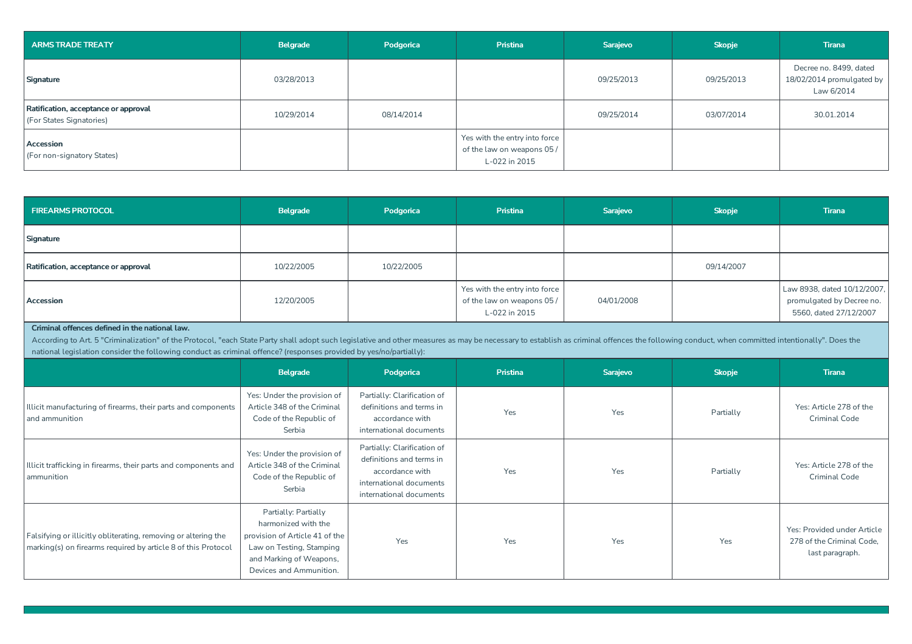| ARMS TRADE TREATY                                                | Belgrade   | Podgorica  | <b>Pristina</b>                                                              | Sarajevo   | <b>Skopje</b> | <b>Tirana</b>                                                     |
|------------------------------------------------------------------|------------|------------|------------------------------------------------------------------------------|------------|---------------|-------------------------------------------------------------------|
| Signature                                                        | 03/28/2013 |            |                                                                              | 09/25/2013 | 09/25/2013    | Decree no. 8499, dated<br>18/02/2014 promulgated by<br>Law 6/2014 |
| Ratification, acceptance or approval<br>(For States Signatories) | 10/29/2014 | 08/14/2014 |                                                                              | 09/25/2014 | 03/07/2014    | 30.01.2014                                                        |
| Accession<br>(For non-signatory States)                          |            |            | Yes with the entry into force<br>of the law on weapons 05 /<br>L-022 in 2015 |            |               |                                                                   |

| <b>FIREARMS PROTOCOL</b>                                                                                                        | Belgrade                                                                                                                                                                                                                                                                                                                                             | Podgorica                                                                                                                        | Pristina                                                                     | <b>Sarajevo</b> | <b>Skopje</b> | <b>Tirana</b>                                                                      |  |  |  |
|---------------------------------------------------------------------------------------------------------------------------------|------------------------------------------------------------------------------------------------------------------------------------------------------------------------------------------------------------------------------------------------------------------------------------------------------------------------------------------------------|----------------------------------------------------------------------------------------------------------------------------------|------------------------------------------------------------------------------|-----------------|---------------|------------------------------------------------------------------------------------|--|--|--|
| Signature                                                                                                                       |                                                                                                                                                                                                                                                                                                                                                      |                                                                                                                                  |                                                                              |                 |               |                                                                                    |  |  |  |
| Ratification, acceptance or approval                                                                                            | 10/22/2005                                                                                                                                                                                                                                                                                                                                           | 10/22/2005                                                                                                                       |                                                                              |                 | 09/14/2007    |                                                                                    |  |  |  |
| Accession                                                                                                                       | 12/20/2005                                                                                                                                                                                                                                                                                                                                           |                                                                                                                                  | Yes with the entry into force<br>of the law on weapons 05 /<br>L-022 in 2015 | 04/01/2008      |               | Law 8938, dated 10/12/2007.<br>promulgated by Decree no.<br>5560, dated 27/12/2007 |  |  |  |
| Criminal offences defined in the national law.                                                                                  | According to Art. 5 "Criminalization" of the Protocol, "each State Party shall adopt such legislative and other measures as may be necessary to establish as criminal offences the following conduct, when committed intention<br>national legislation consider the following conduct as criminal offence? (responses provided by yes/no/partially): |                                                                                                                                  |                                                                              |                 |               |                                                                                    |  |  |  |
|                                                                                                                                 | Belgrade                                                                                                                                                                                                                                                                                                                                             | Podgorica                                                                                                                        | Pristina<br>Sarajevo                                                         |                 | <b>Skopje</b> | <b>Tirana</b>                                                                      |  |  |  |
| Illicit manufacturing of firearms, their parts and components<br>and ammunition                                                 | Yes: Under the provision of<br>Article 348 of the Criminal<br>Code of the Republic of<br>Serbia                                                                                                                                                                                                                                                      | Partially: Clarification of<br>definitions and terms in<br>accordance with<br>international documents                            | Yes                                                                          | Yes             | Partially     | Yes: Article 278 of the<br><b>Criminal Code</b>                                    |  |  |  |
| Illicit trafficking in firearms, their parts and components and<br>ammunition                                                   | Yes: Under the provision of<br>Article 348 of the Criminal<br>Code of the Republic of<br>Serbia                                                                                                                                                                                                                                                      | Partially: Clarification of<br>definitions and terms in<br>accordance with<br>international documents<br>international documents | Yes                                                                          | Yes             | Partially     | Yes: Article 278 of the<br><b>Criminal Code</b>                                    |  |  |  |
| Falsifying or illicitly obliterating, removing or altering the<br>marking(s) on firearms required by article 8 of this Protocol | Partially: Partially<br>harmonized with the<br>provision of Article 41 of the<br>Law on Testing, Stamping<br>and Marking of Weapons,<br>Devices and Ammunition.                                                                                                                                                                                      | Yes                                                                                                                              | Yes                                                                          | Yes             | Yes           | Yes: Provided under Article<br>278 of the Criminal Code,<br>last paragraph.        |  |  |  |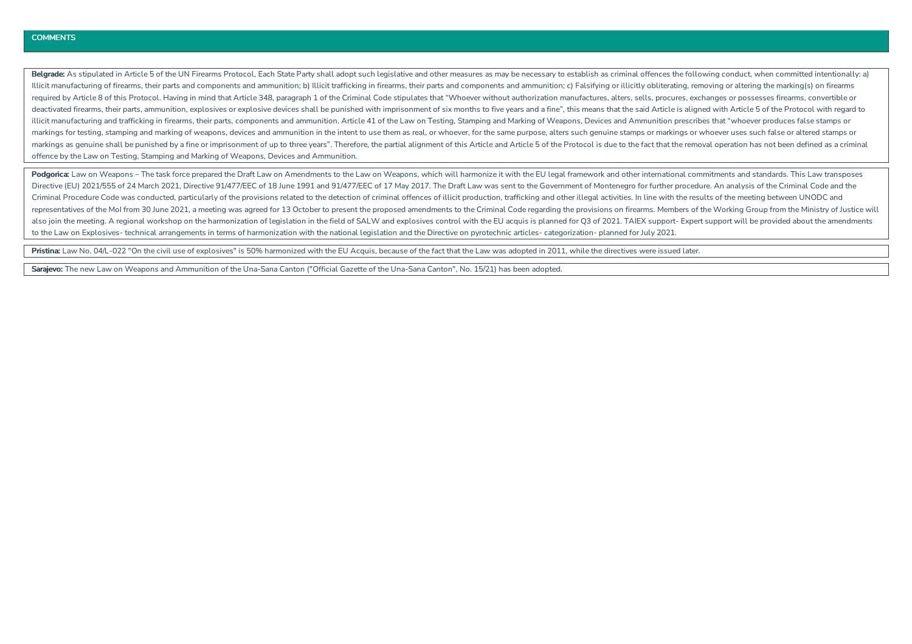Belgrade: As stipulated in Article 5 of the UN Firearms Protocol, Each State Party shall adopt such legislative and other measures as may be necessary to establish as criminal offences the following conduct, when committed Illicit manufacturing of firearms, their parts and components and ammunition; b) Illicit trafficking in firearms, their parts and components and ammunition; c) Ealsifying or illicitly obliterating removing or altering the required by Article 8 of this Protocol. Having in mind that Article 348, paragraph 1 of the Criminal Code stipulates that "Whoever without authorization manufactures, alters, sells, procures, exchanges or possesses firearm deactivated firearms, their parts, ammunition, explosives or explosive devices shall be punished with imprisonment of six months to five years and a fine", this means that the said Article is aligned with Article 5 of the illicit manufacturing and trafficking in firearms, their parts, components and ammunition. Article 41 of the Law on Testing, Stamping and Marking of Weapons, Devices and Ammunition prescribes that "whoever produces false s markings for testing, stamping and marking of weapons, devices and ammunition in the intent to use them as real, or whoever, for the same purpose, alters such genuine stamps or markings or whoever uses such false or altere markings as genuine shall be punished by a fine or imprisonment of up to three years". Therefore, the partial alignment of this Article and Article 5 of the Protocol is due to the fact that the remoyal operation has not be offence bytheLaw on Testing, Stamping and Marking of Weapons, Devices and Ammunition.

Podgorica: Law on Weapons - The task force prepared the Draft Law on Amendments to the Law on Weapons, which will harmonize it with the EU legal framework and other international commitments and standards. This Law transpo Directive (EU) 2021/555 of 24 March 2021, Directive 91/477/EEC of 18 June 1991 and 91/477/EEC of 17 May 2017. The Draft Law was sent to the Government of Montenegro for further procedure. An analysis of the Criminal Code a Criminal Procedure Code was conducted, particularly of the provisions related to the detection of criminal offences of illicit production, trafficking and other illegal activities. In line with the results of the meeting b representatives of the Mol from 30 June 2021, a meeting was agreed for 13 October to present the proposed amendments to the Criminal Code regarding the provisions on firearms. Members of the Working Group from the Ministry also join the meeting. A regional workshop on the harmonization of legislation in the field of SALW and explosives control with the EU acquis is planned for Q3 of 2021. TAIEX support- Expert support will be provided about to the Law on Explosives- technical arrangements in terms of harmonization with the national legislation and the Directive on pyrotechnic articles- categorization- planned for July 2021.

Pristina: Law No. 04/L-022 "On the civil use of explosives" is 50% harmonized with the EU Acquis, because of the fact that the Law was adopted in 2011, while the directives were issued later.

Sarajevo: The new Law on Weapons and Ammunition of the Una-Sana Canton ("Official Gazette of the Una-Sana Canton", No. 15/21) has been adopted.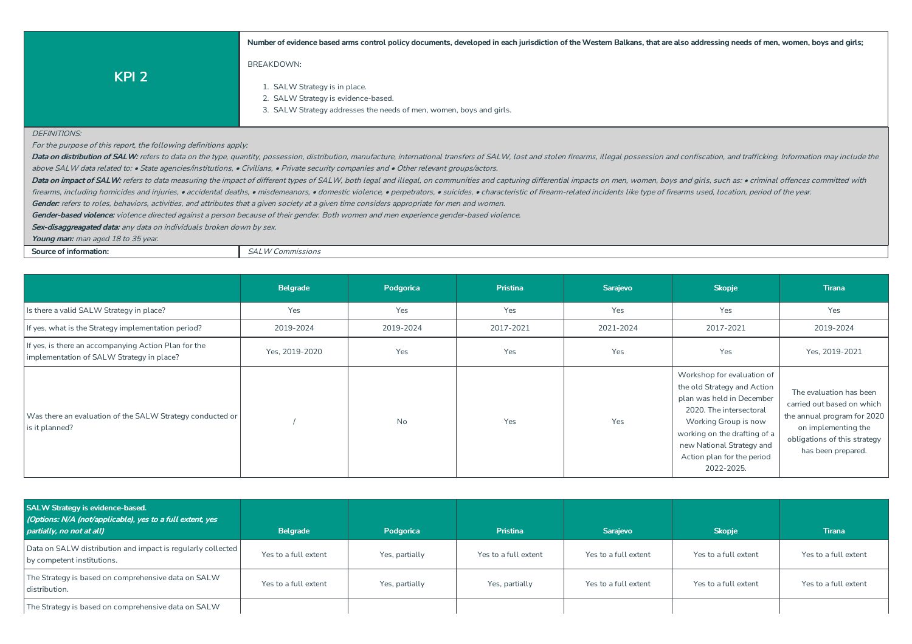Number of evidence based arms control policy documents, developed in each jurisdiction of the Western Balkans, that are also addressing needs of men, women, boys and girls;

- 1. SALW Strategy is in place.
- 2. SALW Strategy is evidence-based.
- 3. SALW Strategy addresses the needs of men, women, boys and girls.

#### DEFINITIONS:

For the purpose of this report, the following definitions apply:

**KPI 2**

Data on distribution of SALW: refers to data on the type, quantity, possession, distribution, manufacture, international transfers of SALW, lost and stolen firearms, illegal possession and confiscation, and trafficking. In above SALW data related to: • State agencies/institutions, • Civilians, • Private security companies and • Other relevant groups/actors.

Data on impact of SALW: refers to data measuring the impact of different types of SALW. both legal and illegal, on communities and capturing differential impacts on men, women, boys and girls, such as: • criminal offences

firearms, including homicides and injuries, • accidental deaths, • misdemeanors, • domestic violence, • perpetrators, • suicides, • characteristic of firearm-related incidents like type of firearms used, location, period o

Gender: refers to roles, behaviors, activities, and attributes that a given society at a given time considers appropriate for men and women.

Gender-based violence: violence directed against a person because of their gender. Both women and men experience gender-based violence.

BREAKDOWN:

Sex-disaggreagated data: any data on individuals broken down by sex.

**Young man:** man aged 18 to 35 year.

**Source of information:**  $SALW \text{ Commissions}$ 

|                                                                                                   | Belgrade       | <b>Pristina</b><br>Podgorica |           | Sarajevo  | <b>Skopje</b>                                                                                                                                                                                                                                      | <b>Tirana</b>                                                                                                                                                     |
|---------------------------------------------------------------------------------------------------|----------------|------------------------------|-----------|-----------|----------------------------------------------------------------------------------------------------------------------------------------------------------------------------------------------------------------------------------------------------|-------------------------------------------------------------------------------------------------------------------------------------------------------------------|
| Is there a valid SALW Strategy in place?                                                          | Yes            | Yes                          | Yes       | Yes       | Yes                                                                                                                                                                                                                                                | Yes                                                                                                                                                               |
| If yes, what is the Strategy implementation period?                                               | 2019-2024      | 2019-2024                    | 2017-2021 | 2021-2024 | 2017-2021                                                                                                                                                                                                                                          | 2019-2024                                                                                                                                                         |
| If yes, is there an accompanying Action Plan for the<br>implementation of SALW Strategy in place? | Yes, 2019-2020 | Yes                          | Yes       | Yes       | Yes                                                                                                                                                                                                                                                | Yes, 2019-2021                                                                                                                                                    |
| Was there an evaluation of the SALW Strategy conducted or<br>is it planned?                       |                | <b>No</b>                    | Yes       | Yes       | Workshop for evaluation of<br>the old Strategy and Action<br>plan was held in December<br>2020. The intersectoral<br>Working Group is now<br>working on the drafting of a<br>new National Strategy and<br>Action plan for the period<br>2022-2025. | The evaluation has been<br>carried out based on which<br>the annual program for 2020<br>on implementing the<br>obligations of this strategy<br>has been prepared. |

| SALW Strategy is evidence-based.<br>(Options: N/A (not/applicable), yes to a full extent, yes<br>partially, no not at all) | Belgrade             | Podgorica      | <b>Pristina</b>      | <b>Saraievo</b>      | <b>Skopje</b>        | <b>Tirana</b>        |
|----------------------------------------------------------------------------------------------------------------------------|----------------------|----------------|----------------------|----------------------|----------------------|----------------------|
| Data on SALW distribution and impact is regularly collected<br>by competent institutions.                                  | Yes to a full extent | Yes, partially | Yes to a full extent | Yes to a full extent | Yes to a full extent | Yes to a full extent |
| The Strategy is based on comprehensive data on SALW<br>distribution.                                                       | Yes to a full extent | Yes, partially | Yes, partially       | Yes to a full extent | Yes to a full extent | Yes to a full extent |
| The Strategy is based on comprehensive data on SALW                                                                        |                      |                |                      |                      |                      |                      |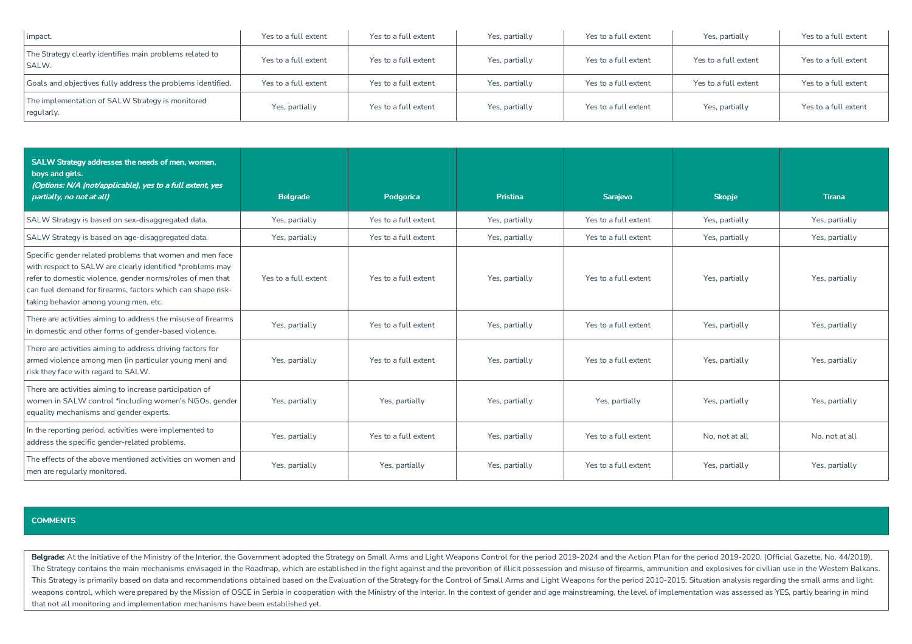| impact.                                                           | Yes to a full extent | Yes to a full extent | Yes, partially | Yes to a full extent | Yes, partially       | Yes to a full extent |
|-------------------------------------------------------------------|----------------------|----------------------|----------------|----------------------|----------------------|----------------------|
| The Strategy clearly identifies main problems related to<br>SALW. | Yes to a full extent | Yes to a full extent | Yes, partially | Yes to a full extent | Yes to a full extent | Yes to a full extent |
| Goals and objectives fully address the problems identified.       | Yes to a full extent | Yes to a full extent | Yes, partially | Yes to a full extent | Yes to a full extent | Yes to a full extent |
| The implementation of SALW Strategy is monitored<br>regularly.    | Yes, partially       | Yes to a full extent | Yes, partially | Yes to a full extent | Yes, partially       | Yes to a full extent |

| SALW Strategy addresses the needs of men, women,<br>boys and girls.<br>(Options: N/A (not/applicable), yes to a full extent, yes<br>partially, no not at all)                                                                                                                               | <b>Belgrade</b>      | Podgorica                              | <b>Pristina</b>                        | Sarajevo             | <b>Skopje</b>  | <b>Tirana</b>  |
|---------------------------------------------------------------------------------------------------------------------------------------------------------------------------------------------------------------------------------------------------------------------------------------------|----------------------|----------------------------------------|----------------------------------------|----------------------|----------------|----------------|
| SALW Strategy is based on sex-disaggregated data.                                                                                                                                                                                                                                           | Yes, partially       | Yes to a full extent                   | Yes, partially                         | Yes to a full extent | Yes, partially | Yes, partially |
| SALW Strategy is based on age-disaggregated data.                                                                                                                                                                                                                                           | Yes, partially       | Yes to a full extent                   | Yes, partially                         | Yes to a full extent | Yes, partially | Yes, partially |
| Specific gender related problems that women and men face<br>with respect to SALW are clearly identified *problems may<br>refer to domestic violence, gender norms/roles of men that<br>can fuel demand for firearms, factors which can shape risk-<br>taking behavior among young men, etc. | Yes to a full extent | Yes to a full extent<br>Yes, partially |                                        | Yes to a full extent | Yes, partially | Yes, partially |
| There are activities aiming to address the misuse of firearms<br>in domestic and other forms of gender-based violence.                                                                                                                                                                      | Yes, partially       | Yes to a full extent                   | Yes, partially<br>Yes to a full extent |                      | Yes, partially | Yes, partially |
| There are activities aiming to address driving factors for<br>armed violence among men (in particular young men) and<br>risk they face with regard to SALW.                                                                                                                                 | Yes, partially       | Yes to a full extent                   | Yes, partially                         | Yes to a full extent | Yes, partially | Yes, partially |
| There are activities aiming to increase participation of<br>women in SALW control *including women's NGOs, gender<br>equality mechanisms and gender experts.                                                                                                                                | Yes, partially       | Yes, partially                         | Yes, partially                         | Yes, partially       | Yes, partially | Yes, partially |
| In the reporting period, activities were implemented to<br>address the specific gender-related problems.                                                                                                                                                                                    | Yes, partially       | Yes to a full extent                   | Yes, partially                         | Yes to a full extent | No, not at all | No, not at all |
| The effects of the above mentioned activities on women and<br>men are regularly monitored.                                                                                                                                                                                                  | Yes, partially       | Yes, partially                         | Yes, partially                         | Yes to a full extent | Yes, partially | Yes, partially |

Belgrade: At the initiative of the Ministry of the Interior, the Government adopted the Strategy on Small Arms and Light Weapons Control for the period 2019-2024 and the Action Plan for the period 2019-2020. (Official Gaze The Strategy contains the main mechanisms envisaged in the Roadmap, which are established in the fight against and the prevention of illicit possession and misuse of firearms, ammunition and explosives for civilian use in This Strategy is primarily based on data and recommendations obtained based on the Evaluation of the Strategy for the Control of Small Arms and Light Weapons for the period 2010-2015, Situation analysis regarding the small weapons control, which were prepared by the Mission of OSCE in Serbia in cooperation with the Ministry of the Interior. In the context of gender and age mainstreaming, the level of implementation was assessed as YES, partl that not all monitoring and implementation mechanisms have been established yet.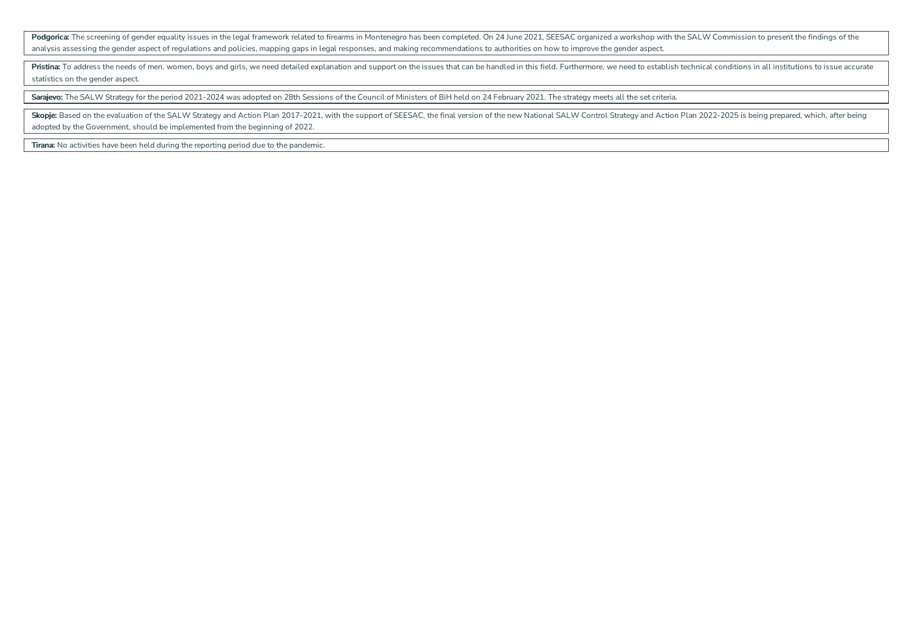Podgorica: The screening of gender equality issues in the legal framework related to firearms in Montenegro has been completed. On 24 June 2021, SEESAC organized a workshop with the SALW Commission to present the findings analysis assessing the gender aspect of regulations and policies, mapping gaps in legal responses, and making recommendations to authorities on how to improve the gender aspect.

Pristina: To address the needs of men, women, boys and girls, we need detailed explanation and support on the issues that can be handled in this field. Furthermore, we need to establish technical conditions in all institut statistics on the gender aspect.

Sarajevo: The SALW Strategy for the period 2021-2024 was adopted on 28th Sessions of the Council of Ministers of BiH held on 24 February 2021. The strategy meets all the set criteria.

Skopie: Based on the evaluation of the SALW Strategy and Action Plan 2017-2021, with the support of SEESAC, the final version of the new National SALW Control Strategy and Action Plan 2022-2025 is being prepared, which, af adopted by the Government, should be implemented from the beginning of 2022.

**Tirana:** No activities have been held during the reporting period due to the pandemic.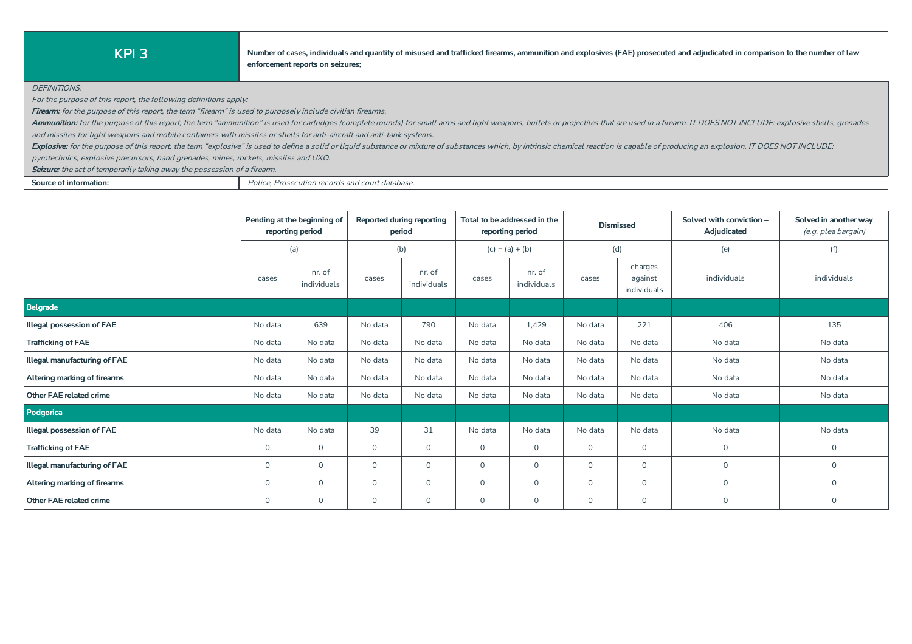KPI 3 Number of cases, individuals and quantity of misused and trafficked firearms, ammunition and explosives (FAE) prosecuted and adjudicated in comparison to the number of law **enforcement** reports on seizures;

DEFINITIONS:

For the purpose of this report, the following definitions apply:

**Firearm:** for the purpose of this report, the term "firearm" is used to purposely include civilian firearms.

Ammunition: for the purpose of this report, the term "ammunition" is used for cartridges (complete rounds) for small arms and light weapons, bullets or projectiles that are used in a firearm. IT DOES NOT INCLUDE: explosive and missiles for light weapons and mobile containers with missiles or shells for anti-aircraft and anti-tank systems.

Explosive: for the purpose of this report, the term "explosive" is used to define a solid or liquid substance or mixture of substances which, by intrinsic chemical reaction is capable of producing an explosion. IT DOES NOT

pyrotechnics, explosive precursors, hand grenades, mines, rockets, missiles and UXO.

Seizure: the act of temporarily taking away the possession of a firearm.

**Source of information:** Police, Prosecution records and court database.

|                                  | Pending at the beginning of<br>reporting period |                       |                | <b>Reported during reporting</b><br>period |             | Total to be addressed in the<br>reporting period | <b>Dismissed</b> |                                   | Solved with conviction -<br>Adjudicated | Solved in another way<br>(e.g. plea bargain) |
|----------------------------------|-------------------------------------------------|-----------------------|----------------|--------------------------------------------|-------------|--------------------------------------------------|------------------|-----------------------------------|-----------------------------------------|----------------------------------------------|
|                                  |                                                 | (a)                   |                | (b)                                        |             | $(c) = (a) + (b)$                                |                  | (d)                               | (e)                                     | (f)                                          |
|                                  | cases                                           | nr. of<br>individuals | cases          | nr. of<br>individuals                      | cases       | nr. of<br>individuals                            | cases            | charges<br>against<br>individuals | individuals                             | individuals                                  |
| Belgrade                         |                                                 |                       |                |                                            |             |                                                  |                  |                                   |                                         |                                              |
| <b>Illegal possession of FAE</b> | No data                                         | 639                   | No data        | 790                                        | No data     | 1,429                                            | No data          | 221                               | 406                                     | 135                                          |
| <b>Trafficking of FAE</b>        | No data                                         | No data               | No data        | No data                                    | No data     | No data                                          | No data          | No data                           | No data                                 | No data                                      |
| Illegal manufacturing of FAE     | No data                                         | No data               | No data        | No data                                    | No data     | No data                                          | No data          | No data                           | No data                                 | No data                                      |
| Altering marking of firearms     | No data                                         | No data               | No data        | No data                                    | No data     | No data                                          | No data          | No data                           | No data                                 | No data                                      |
| Other FAE related crime          | No data                                         | No data               | No data        | No data                                    | No data     | No data                                          | No data          | No data                           | No data                                 | No data                                      |
| Podgorica                        |                                                 |                       |                |                                            |             |                                                  |                  |                                   |                                         |                                              |
| <b>Illegal possession of FAE</b> | No data                                         | No data               | 39             | 31                                         | No data     | No data                                          | No data          | No data                           | No data                                 | No data                                      |
| <b>Trafficking of FAE</b>        | $\circ$                                         | $\Omega$              | $\circ$        | $\Omega$                                   | $\mathbf 0$ | $\circ$                                          | $\Omega$         | $\circ$                           | $\Omega$                                | $\mathbf 0$                                  |
| Illegal manufacturing of FAE     | $\circ$                                         | $\mathbf 0$           | $\overline{O}$ | $\mathbf 0$                                | $\mathbf 0$ | $\circ$                                          | $\mathbf 0$      | $\circ$                           | $\mathbf{0}$                            | $\mathbf 0$                                  |
| Altering marking of firearms     | $\mathbf 0$                                     | $\mathbf 0$           | $\mathsf{O}$   | $\mathbf 0$                                | $\mathbf 0$ | $\mathsf{O}$                                     | $\mathbf 0$      | $\mathbf{0}$                      | $\mathbf 0$                             | $\mathbf 0$                                  |
| Other FAE related crime          | $\mathbf 0$                                     | $\Omega$              | $\mathsf{O}$   | $\Omega$                                   | $\circ$     | $\mathsf{O}$                                     | $\Omega$         | $\circ$                           | $\mathbf{0}$                            | $\mathbf 0$                                  |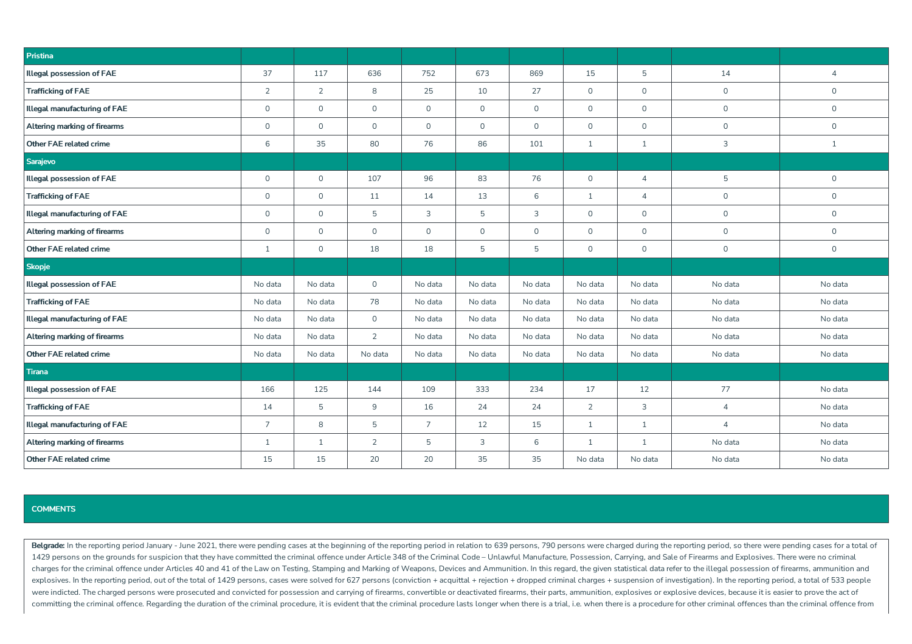| Pristina                            |                     |                |                     |                |             |              |                |                |                |                |
|-------------------------------------|---------------------|----------------|---------------------|----------------|-------------|--------------|----------------|----------------|----------------|----------------|
| <b>Illegal possession of FAE</b>    | 37                  | 117            | 636                 | 752            | 673         | 869          | 15             | 5              | 14             | $\overline{4}$ |
| <b>Trafficking of FAE</b>           | $\overline{2}$      | $\overline{2}$ | 8                   | 25             | 10          | 27           | $\circ$        | $\mathbf 0$    | $\mathsf{O}$   | $\mathsf{O}$   |
| Illegal manufacturing of FAE        | $\mathsf{O}$        | $\mathsf{O}$   | $\mathsf{O}\xspace$ | $\overline{0}$ | $\mathsf O$ | $\mathsf{O}$ | $\circ$        | $\mathsf{O}$   | $\mathsf{O}$   | $\overline{0}$ |
| Altering marking of firearms        | $\mathsf{O}\xspace$ | $\mathsf{O}$   | $\mathsf{O}\xspace$ | $\overline{0}$ | $\mathsf O$ | $\mathsf{O}$ | $\mathsf{O}$   | $\mathsf{O}$   | $\mathsf{O}$   | $\mathsf{O}$   |
| Other FAE related crime             | 6                   | 35             | 80                  | 76             | 86          | 101          | $\mathbf{1}$   | $\mathbf{1}$   | $\mathbf{3}$   | $\mathbf{1}$   |
| Sarajevo                            |                     |                |                     |                |             |              |                |                |                |                |
| <b>Illegal possession of FAE</b>    | $\mathsf{O}\xspace$ | $\mathsf{O}$   | 107                 | 96             | 83          | 76           | $\mathsf{O}$   | $\overline{4}$ | 5              | $\mathsf{O}$   |
| <b>Trafficking of FAE</b>           | $\mathsf{O}$        | $\mathsf{O}$   | 11                  | 14             | 13          | 6            | $\mathbf{1}$   | $\overline{4}$ | $\mathsf{O}$   | $\mathsf{O}$   |
| <b>Illegal manufacturing of FAE</b> | $\mathsf{O}\xspace$ | $\mathsf{O}$   | 5                   | 3              | 5           | 3            | $\mathsf{O}$   | $\mathsf{O}$   | $\mathsf O$    | $\mathsf{O}$   |
| Altering marking of firearms        | $\mathsf{O}$        | $\mathsf{O}$   | $\mathsf{O}\xspace$ | $\mathbf{0}$   | $\circ$     | $\mathsf{O}$ | $\circ$        | $\mathsf{O}$   | $\mathsf{O}$   | $\mathsf{O}$   |
| Other FAE related crime             | 1                   | $\mathsf{O}$   | 18                  | 18             | 5           | 5            | $\mathsf{O}$   | $\mathsf{O}$   | $\mathsf{O}$   | $\mathsf{O}$   |
| <b>Skopje</b>                       |                     |                |                     |                |             |              |                |                |                |                |
| <b>Illegal possession of FAE</b>    | No data             | No data        | $\mathsf{O}\xspace$ | No data        | No data     | No data      | No data        | No data        | No data        | No data        |
| <b>Trafficking of FAE</b>           | No data             | No data        | 78                  | No data        | No data     | No data      | No data        | No data        | No data        | No data        |
| <b>Illegal manufacturing of FAE</b> | No data             | No data        | $\mathsf{O}$        | No data        | No data     | No data      | No data        | No data        | No data        | No data        |
| Altering marking of firearms        | No data             | No data        | $\overline{2}$      | No data        | No data     | No data      | No data        | No data        | No data        | No data        |
| Other FAE related crime             | No data             | No data        | No data             | No data        | No data     | No data      | No data        | No data        | No data        | No data        |
| Tirana                              |                     |                |                     |                |             |              |                |                |                |                |
| <b>Illegal possession of FAE</b>    | 166                 | 125            | 144                 | 109            | 333         | 234          | 17             | 12             | 77             | No data        |
| <b>Trafficking of FAE</b>           | 14                  | 5              | 9                   | 16             | 24          | 24           | $\overline{2}$ | 3              | $\overline{4}$ | No data        |
| Illegal manufacturing of FAE        | $\overline{7}$      | 8              | 5                   | $7^{\circ}$    | 12          | 15           | $\mathbf{1}$   | $\mathbf{1}$   | $\overline{4}$ | No data        |
| Altering marking of firearms        | $\mathbf{1}$        | 1              | $\overline{2}$      | 5              | 3           | 6            | $\mathbf{1}$   | 1              | No data        | No data        |
| Other FAE related crime             | 15                  | 15             | 20                  | 20             | 35          | 35           | No data        | No data        | No data        | No data        |

Belgrade: In the reporting period January - June 2021, there were pending cases at the beginning of the reporting period in relation to 639 persons, 790 persons were charged during the reporting period, so there were pendi 1429 persons on the grounds for suspicion that they have committed the criminal offence under Article 348 of the Criminal Code – Unlawful Manufacture, Possession, Carrying, and Sale of Firearms and Explosives. There were n charges for the criminal offence under Articles 40 and 41 of the Law on Testing, Stamping and Marking of Weapons, Devices and Ammunition. In this regard, the given statistical data refer to the illegal possession of firear explosives. In the reporting period, out of the total of 1429 persons, cases were solved for 627 persons (conviction + acquittal + rejection + dropped criminal charges + suspension of investigation). In the reporting perio were indicted. The charged persons were prosecuted and convicted for possession and carrying of firearms, convertible or deactivated firearms, their parts, ammunition, explosives or explosive devices, because it is easier committing the criminal offence. Regarding the duration of the criminal procedure, it is evident that the criminal procedure lasts longer when there is a trial, i.e. when there is a procedure for other criminal offences th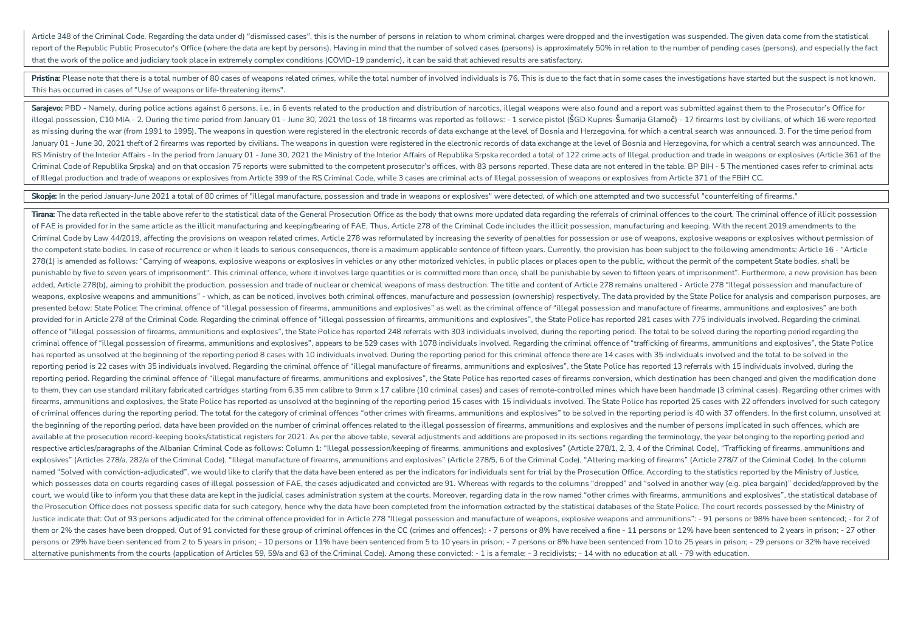Article 348 of the Criminal Code Regarding the data under d) "dismissed cases" this is the number of persons in relation to whom criminal charges were dronped and the investigation was suspended. The given data come from t report of the Republic Public Prosecutor's Office (where the data are kept by persons). Having in mind that the number of solved cases (persons) is approximately 50% in relation to the number of pending cases (persons), an that the work of the police and judiciary took place in extremely complex conditions (COVID-19 pandemic), it can be said that achieved results are satisfactory.

Pristina: Please note that there is a total number of 80 cases of weapons related crimes, while the total number of involved individuals is 76. This is due to the fact that in some cases the investigations have started but This has occurred in cases of "Use of weapons or life-threatening items".

Sarajevo: PBD - Namely, during police actions against 6 persons, i.e., in 6 events related to the production and distribution of narcotics, illegal weapons were also found and a report was submitted against them to the Pro illegal possession, C10 MIA - 2. During the time period from January 01 - June 30, 2021 the loss of 18 firearms was reported as follows: - 1 service pistol (SGD Kupres-Sumarija Glamoč) - 17 firearms lost by civilians, of w as missing during the war (from 1991 to 1995). The weapons in question were registered in the electronic records of data exchange at the level of Bosnia and Herzegovina, for which a central search was announced. 3. For the January 01 - June 30, 2021 theft of 2 firearms was reported by civilians. The weapons in question were registered in the electronic records of data exchange at the level of Bosnia and Herzegovina, for which a central searc RS Ministry of the Interior Affairs - In the period from January 01 - June 30, 2021 the Ministry of the Interior Affairs of Republika Srpska recorded a total of 122 crime acts of Illegal production and trade in weapons or Criminal Code of Republika Srpska) and on that occasion 75 reports were submitted to the competent prosecutor's offices, with 83 persons reported. These data are not entered in the table. BP BIH - 5 The mentioned cases ref of Illegal productionand tradeof weapons orexplosives from Article 399 of the RS Criminal Code, while 3 cases arecriminal acts of Illegal possessionof weapons orexplosives from Article 371 of theFBiH CC.

Skopje: In the period January-June 2021 a total of 80 crimes of "illegal manufacture, possession and trade in weapons or explosives" were detected, of which one attempted and two successful "counterfeiting of firearms."

Tirana: The data reflected in the table above refer to the statistical data of the General Prosecution Office as the body that owns more updated data regarding the referrals of criminal offences to the court. The criminal of FAE is provided for in the same article as the illicit manufacturing and keeping/bearing of FAE. Thus, Article 278 of the Criminal Code includes the illicit possession, manufacturing and keeping. With the recent 2019 am Criminal Code by Law 44/2019, affecting the provisions on weapon related crimes. Article 278 was reformulated by increasing the severity of penalties for possession or use of weapons, explosive weapons or explosives withou the competent state bodies. In case of recurrence or when it leads to serious consequences, there is a maximum applicable sentence of fifteen years. Currently, the provision has been subject to the following amendments: Ar 278(1) is amended as follows: "Carrying of weapons, explosive weapons or explosives in vehicles or any other motorized vehicles, in public places or places open to the public, without the permit of the competent State bodi punishable by five to seven years of imprisonment". This criminal offence, where it involves large quantities or is committed more than once, shall be punishable by seven to fifteen years of imprisonment". Furthermore, a n added, Article 278(b), aiming to prohibit the production, possession and trade of nuclear or chemical weapons of mass destruction. The title and content of Article 278 remains unaltered - Article 278 "Illegal possession an weapons, explosive weapons and ammunitions" - which, as can be noticed, involves both criminal offences, manufacture and possession (ownership) respectively. The data provided by the State Police for analysis and compariso presented below: State Police: The criminal offence of "illegal possession of firearms, ammunitions and explosives" as well as the criminal offence of "illegal possession and manufacture of firearms, ammunitions and explos provided for in Article 278 of the Criminal Code. Regarding the criminal offence of "illegal possession of firearms, ammunitions and explosives", the State Police has reported 281 cases with 775 individuals involved. Regar offence of "illegal possession of firearms, ammunitions and explosives", the State Police has reported 248 referrals with 303 individuals involved, during the reporting period. The total to be solved during the reporting p criminal offence of "illegal possession of firearms, ammunitions and explosives", appears to be 529 cases with 1078 individuals involved. Regarding the criminal offence of "trafficking of firearms, ammunitions and explosiv has reported as unsolved at the beginning of the reporting period 8 cases with 10 individuals involved. During the reporting period for this criminal offence there are 14 cases with 35 individuals involved and the total to reporting period is 22 cases with 35 individuals involved. Regarding the criminal offence of "illegal manufacture of firearms, ammunitions and explosives", the State Police has reported 13 referrals with 15 individuals inv reporting period. Regarding the criminal offence of "illegal manufacture of firearms, ammunitions and explosives", the State Police has reported cases of firearms conversion, which destination has been changed and given th to them, they can use standard military fabricated cartridges starting from 6.35 mm calibre to 9mm x 17 calibre (10 criminal cases) and cases of remote-controlled mines which have been handmade (3 criminal cases). Regardin firearms, ammunitions and explosives, the State Police has reported as unsolved at the beginning of the reporting period 15 cases with 15 individuals involved. The State Police has reported 25 cases with 22 offenders invol of criminal offences during the reporting period. The total for the category of criminal offences "other crimes with firearms, ammunitions and explosives" to be solved in the reporting period is 40 with 37 offenders. In th the beginning of the reporting period, data have been provided on the number of criminal offences related to the illegal possession of firearms, ammunitions and explosives and the number of persons implicated in such offen available at the prosecution record-keeping books/statistical registers for 2021. As per the above table, several adjustments and additions are proposed in its sections regarding the terminology, the year belonging to the respective articles/paragraphs of the Albanian Criminal Code as follows: Column 1: "Illegal possession/keeping of firearms, ammunitions and explosives" (Article 278/1, 2, 3, 4 of the Criminal Code), "Trafficking of firearm explosives" (Articles 278/a, 282/a of the Criminal Code), "Illegal manufacture of firearms, ammunitions and explosives" (Article 278/5, 6 of the Criminal Code), "Altering marking of firearms" (Article 278/7 of the Criminal named "Solved with conviction-adjudicated", we would like to clarify that the data have been entered as per the indicators for individuals sent for trial by the Prosecution Office. According to the statistics reported by t which possesses data on courts regarding cases of illegal possession of FAE, the cases adjudicated and convicted are 91. Whereas with regards to the columns "dropped" and "solved in another way (e.g. plea bargain)" decided court, we would like to inform you that these data are kept in the judicial cases administration system at the courts. Moreover, regarding data in the row named "other crimes with firearms, ammunitions and explosives", the the Prosecution Office does not possess specific data for such category, hence why the data have been completed from the information extracted by the statistical databases of the State Police. The court records possessed b Justice indicate that: Out of 93 persons adjudicated for the criminal offence provided for in Article 278 "Illegal possession and manufacture of weapons, explosive weapons and ammunitions": - 91 persons or 98% have been se them or 2% the cases have been dropped. Out of 91 convicted for these group of criminal offences in the CC (crimes and offences): - 7 persons or 8% have received a fine - 11 persons or 12% have been sentenced to 2 years in persons or 29% have been sentenced from 2 to 5 years in prison: - 10 persons or 11% have been sentenced from 5 to 10 years in prison: - 7 persons or 8% have been sentenced from 10 to 25 years in prison: - 29 persons or 32% alternative punishments from the courts (application of Articles 59, 59/a and 63 of the Criminal Code). Among these convicted: - 1 is a female; - 3 recidivists; - 14 with no education at all - 79 with education.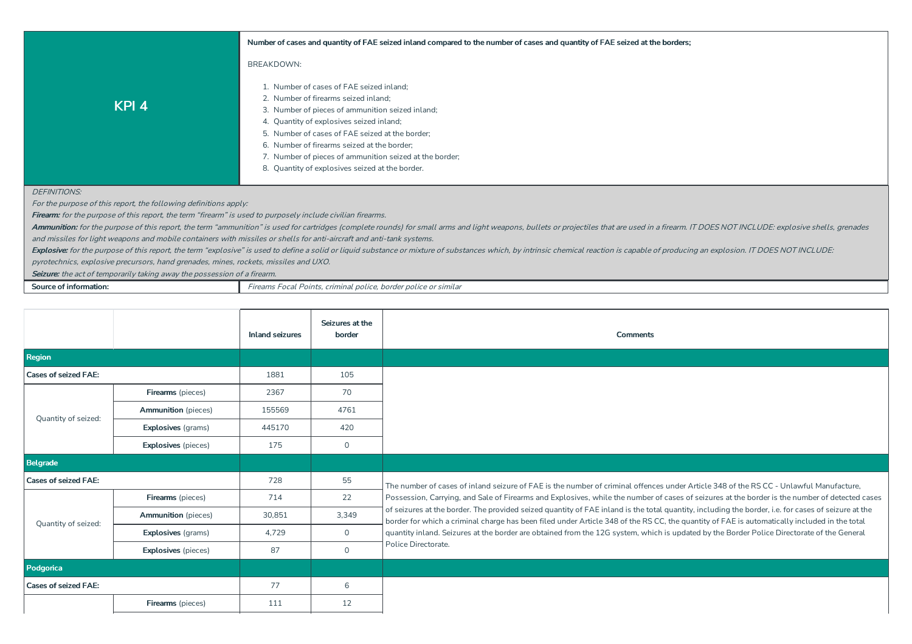|                     | Number of cases and quantity of FAE seized inland compared to the number of cases and quantity of FAE seized at the borders;                                                                                                                                                                                                                  |
|---------------------|-----------------------------------------------------------------------------------------------------------------------------------------------------------------------------------------------------------------------------------------------------------------------------------------------------------------------------------------------|
|                     | <b>BREAKDOWN:</b>                                                                                                                                                                                                                                                                                                                             |
| KPI <sub>4</sub>    | 1. Number of cases of FAE seized inland:<br>2. Number of firearms seized inland;<br>3. Number of pieces of ammunition seized inland;<br>4. Quantity of explosives seized inland;<br>5. Number of cases of FAE seized at the border;<br>6. Number of firearms seized at the border;<br>7. Number of pieces of ammunition seized at the border; |
|                     | 8. Quantity of explosives seized at the border.                                                                                                                                                                                                                                                                                               |
| <b>DEFINITIONS:</b> |                                                                                                                                                                                                                                                                                                                                               |

For the purpose of this report, the following definitions apply:

Firearm: for the purpose of this report, the term "firearm" is used to purposely include civilian firearms.

Ammunition: for the purpose of this report, the term "ammunition" is used for cartridges (complete rounds) for small arms and light weapons, bullets or projectiles that are used in a firearm. IT DOES NOT INCLUDE: explosive and missiles for light weapons and mobile containers with missiles or shells for anti-aircraft and anti-tank systems.

Explosive: for the purpose of this report, the term "explosive" is used to define a solid or liquid substance or mixture of substances which, by intrinsic chemical reaction is capable of producing an explosion. IT DOES NOT

pyrotechnics, explosive precursors,hand grenades, mines, rockets, missiles and UXO.

Seizure: the act of temporarily taking away the possession of a firearm.

| Source of information |  |  |  |
|-----------------------|--|--|--|
|-----------------------|--|--|--|

**Source** *Sourceoff Eireams Focal Points, criminal police, border police or similar* 

|                             |                                   | <b>Inland seizures</b> | Seizures at the<br>border | <b>Comments</b>                                                                                                                                                                                                                                                                                     |
|-----------------------------|-----------------------------------|------------------------|---------------------------|-----------------------------------------------------------------------------------------------------------------------------------------------------------------------------------------------------------------------------------------------------------------------------------------------------|
| Region                      |                                   |                        |                           |                                                                                                                                                                                                                                                                                                     |
| <b>Cases of seized FAE:</b> |                                   | 1881                   | 105                       |                                                                                                                                                                                                                                                                                                     |
|                             | Firearms (pieces)                 | 2367                   | 70                        |                                                                                                                                                                                                                                                                                                     |
| Quantity of seized:         | <b>Ammunition</b> (pieces)        | 155569                 | 4761                      |                                                                                                                                                                                                                                                                                                     |
|                             | <b>Explosives</b> (grams)         | 445170                 | 420                       |                                                                                                                                                                                                                                                                                                     |
|                             | 175<br><b>Explosives</b> (pieces) |                        |                           |                                                                                                                                                                                                                                                                                                     |
| Belgrade                    |                                   |                        |                           |                                                                                                                                                                                                                                                                                                     |
| <b>Cases of seized FAE:</b> |                                   | 728                    | 55                        | The number of cases of inland seizure of FAE is the number of criminal offences under Article 348 of the RSCC - Unlawful Manufacture.                                                                                                                                                               |
|                             | Firearms (pieces)                 | 714                    | 22                        | Possession, Carrying, and Sale of Firearms and Explosives, while the number of cases of seizures at the border is the number of detected cases                                                                                                                                                      |
| Quantity of seized:         | <b>Ammunition</b> (pieces)        | 30,851                 | 3,349                     | of seizures at the border. The provided seized quantity of FAE inland is the total quantity, including the border, i.e. for cases of seizure at the<br>border for which a criminal charge has been filed under Article 348 of the RS CC, the quantity of FAE is automatically included in the total |
|                             | <b>Explosives</b> (grams)         | 4,729                  | $\mathbf{0}$              | quantity inland. Seizures at the border are obtained from the 12G system, which is updated by the Border Police Directorate of the General                                                                                                                                                          |
|                             | <b>Explosives</b> (pieces)        | 87                     | $\mathbf 0$               | Police Directorate.                                                                                                                                                                                                                                                                                 |
| Podgorica                   |                                   |                        |                           |                                                                                                                                                                                                                                                                                                     |
| <b>Cases of seized FAE:</b> |                                   | 77                     | 6                         |                                                                                                                                                                                                                                                                                                     |
|                             | <b>Firearms</b> (pieces)          | 111                    | 12                        |                                                                                                                                                                                                                                                                                                     |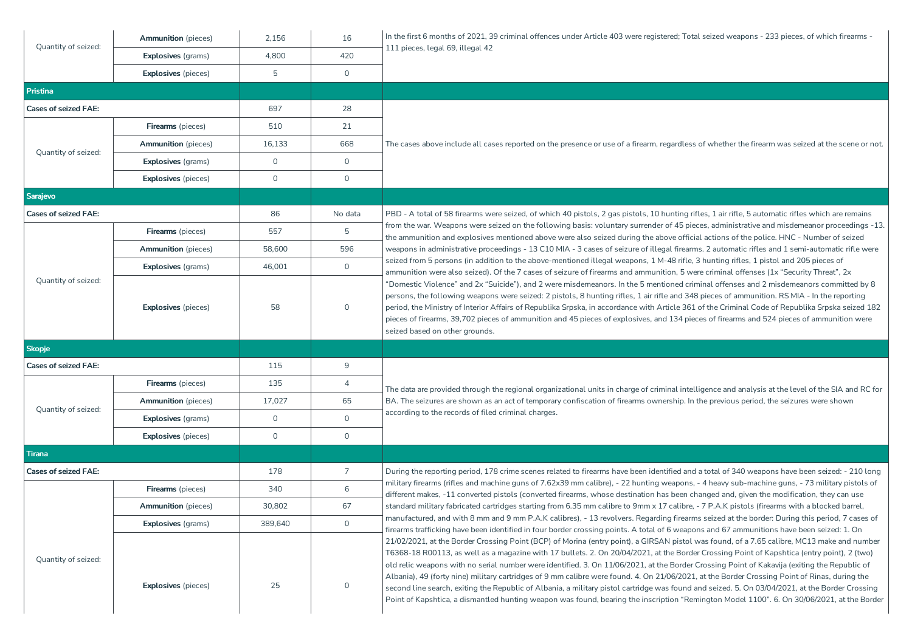| Quantity of seized:                               | <b>Ammunition</b> (pieces) | 2,156        | 16                  | In the first 6 months of 2021, 39 criminal offences under Article 403 were registered; Total seized weapons - 233 pieces, of which firearms -                                                                                                                                                                                                                                                                                                                                                                                                                                                                                                                                                                                                                                                                                                                                              |  |  |
|---------------------------------------------------|----------------------------|--------------|---------------------|--------------------------------------------------------------------------------------------------------------------------------------------------------------------------------------------------------------------------------------------------------------------------------------------------------------------------------------------------------------------------------------------------------------------------------------------------------------------------------------------------------------------------------------------------------------------------------------------------------------------------------------------------------------------------------------------------------------------------------------------------------------------------------------------------------------------------------------------------------------------------------------------|--|--|
|                                                   | <b>Explosives</b> (grams)  | 4,800        | 420                 | 111 pieces, legal 69, illegal 42                                                                                                                                                                                                                                                                                                                                                                                                                                                                                                                                                                                                                                                                                                                                                                                                                                                           |  |  |
|                                                   | <b>Explosives</b> (pieces) | 5            | $\circ$             |                                                                                                                                                                                                                                                                                                                                                                                                                                                                                                                                                                                                                                                                                                                                                                                                                                                                                            |  |  |
| <b>Pristina</b>                                   |                            |              |                     |                                                                                                                                                                                                                                                                                                                                                                                                                                                                                                                                                                                                                                                                                                                                                                                                                                                                                            |  |  |
| <b>Cases of seized FAE:</b>                       |                            | 697          | 28                  |                                                                                                                                                                                                                                                                                                                                                                                                                                                                                                                                                                                                                                                                                                                                                                                                                                                                                            |  |  |
|                                                   | Firearms (pieces)          | 510          | 21                  |                                                                                                                                                                                                                                                                                                                                                                                                                                                                                                                                                                                                                                                                                                                                                                                                                                                                                            |  |  |
| <b>Ammunition</b> (pieces)<br>Quantity of seized: |                            | 16,133       | 668                 | The cases above include all cases reported on the presence or use of a firearm, regardless of whether the firearm was seized at the scene or not.                                                                                                                                                                                                                                                                                                                                                                                                                                                                                                                                                                                                                                                                                                                                          |  |  |
|                                                   | <b>Explosives</b> (grams)  | $\mathbf 0$  | $\circ$             |                                                                                                                                                                                                                                                                                                                                                                                                                                                                                                                                                                                                                                                                                                                                                                                                                                                                                            |  |  |
|                                                   | <b>Explosives</b> (pieces) | $\mathbf 0$  | $\mathsf{O}$        |                                                                                                                                                                                                                                                                                                                                                                                                                                                                                                                                                                                                                                                                                                                                                                                                                                                                                            |  |  |
| Sarajevo                                          |                            |              |                     |                                                                                                                                                                                                                                                                                                                                                                                                                                                                                                                                                                                                                                                                                                                                                                                                                                                                                            |  |  |
| <b>Cases of seized FAE:</b>                       |                            | 86           | No data             | PBD - A total of 58 firearms were seized, of which 40 pistols, 2 gas pistols, 10 hunting rifles, 1 air rifle, 5 automatic rifles which are remains                                                                                                                                                                                                                                                                                                                                                                                                                                                                                                                                                                                                                                                                                                                                         |  |  |
|                                                   | <b>Firearms</b> (pieces)   | 557          | 5                   | from the war. Weapons were seized on the following basis: voluntary surrender of 45 pieces, administrative and misdemeanor proceedings -13.<br>the ammunition and explosives mentioned above were also seized during the above official actions of the police. HNC - Number of seized                                                                                                                                                                                                                                                                                                                                                                                                                                                                                                                                                                                                      |  |  |
|                                                   | <b>Ammunition</b> (pieces) | 58,600       | 596                 | weapons in administrative proceedings - 13 C10 MIA - 3 cases of seizure of illegal firearms. 2 automatic rifles and 1 semi-automatic rifle were                                                                                                                                                                                                                                                                                                                                                                                                                                                                                                                                                                                                                                                                                                                                            |  |  |
|                                                   | <b>Explosives</b> (grams)  | 46,001       | $\mathsf{O}$        | seized from 5 persons (in addition to the above-mentioned illegal weapons, 1 M-48 rifle, 3 hunting rifles, 1 pistol and 205 pieces of<br>ammunition were also seized). Of the 7 cases of seizure of firearms and ammunition, 5 were criminal offenses (1x "Security Threat", $2x$                                                                                                                                                                                                                                                                                                                                                                                                                                                                                                                                                                                                          |  |  |
| Quantity of seized:                               | <b>Explosives</b> (pieces) | 58           | $\mathbf 0$         | "Domestic Violence" and 2x "Suicide"), and 2 were misdemeanors. In the 5 mentioned criminal offenses and 2 misdemeanors committed by 8<br>persons, the following weapons were seized: 2 pistols, 8 hunting rifles, 1 air rifle and 348 pieces of ammunition. RS MIA - In the reporting<br>period, the Ministry of Interior Affairs of Republika Srpska, in accordance with Article 361 of the Criminal Code of Republika Srpska seized 182<br>pieces of firearms, 39,702 pieces of ammunition and 45 pieces of explosives, and 134 pieces of firearms and 524 pieces of ammunition were<br>seized based on other grounds.                                                                                                                                                                                                                                                                  |  |  |
| <b>Skopje</b>                                     |                            |              |                     |                                                                                                                                                                                                                                                                                                                                                                                                                                                                                                                                                                                                                                                                                                                                                                                                                                                                                            |  |  |
| <b>Cases of seized FAE:</b>                       |                            | 115          | 9                   |                                                                                                                                                                                                                                                                                                                                                                                                                                                                                                                                                                                                                                                                                                                                                                                                                                                                                            |  |  |
|                                                   | <b>Firearms</b> (pieces)   | 135          | $\overline{4}$      | The data are provided through the regional organizational units in charge of criminal intelligence and analysis at the level of the SIA and RC for                                                                                                                                                                                                                                                                                                                                                                                                                                                                                                                                                                                                                                                                                                                                         |  |  |
|                                                   | <b>Ammunition</b> (pieces) | 17,027       | 65                  | BA. The seizures are shown as an act of temporary confiscation of firearms ownership. In the previous period, the seizures were shown                                                                                                                                                                                                                                                                                                                                                                                                                                                                                                                                                                                                                                                                                                                                                      |  |  |
| Quantity of seized:                               | <b>Explosives</b> (grams)  | $\mathbf 0$  | $\mathsf{O}$        | according to the records of filed criminal charges.                                                                                                                                                                                                                                                                                                                                                                                                                                                                                                                                                                                                                                                                                                                                                                                                                                        |  |  |
|                                                   | <b>Explosives</b> (pieces) | $\mathsf{O}$ | $\mathsf{O}$        |                                                                                                                                                                                                                                                                                                                                                                                                                                                                                                                                                                                                                                                                                                                                                                                                                                                                                            |  |  |
| Tirana                                            |                            |              |                     |                                                                                                                                                                                                                                                                                                                                                                                                                                                                                                                                                                                                                                                                                                                                                                                                                                                                                            |  |  |
| <b>Cases of seized FAE:</b>                       |                            | 178          | 7                   | During the reporting period, 178 crime scenes related to firearms have been identified and a total of 340 weapons have been seized: - 210 long                                                                                                                                                                                                                                                                                                                                                                                                                                                                                                                                                                                                                                                                                                                                             |  |  |
|                                                   | <b>Firearms</b> (pieces)   | 340          | 6                   | military firearms (rifles and machine guns of 7.62x39 mm calibre), - 22 hunting weapons, - 4 heavy sub-machine guns, - 73 military pistols of<br>different makes, -11 converted pistols (converted firearms, whose destination has been changed and, given the modification, they can use                                                                                                                                                                                                                                                                                                                                                                                                                                                                                                                                                                                                  |  |  |
|                                                   | <b>Ammunition</b> (pieces) | 30,802       | 67                  | standard military fabricated cartridges starting from 6.35 mm calibre to 9mm x 17 calibre, - 7 P.A.K pistols (firearms with a blocked barrel,                                                                                                                                                                                                                                                                                                                                                                                                                                                                                                                                                                                                                                                                                                                                              |  |  |
|                                                   | <b>Explosives</b> (grams)  | 389,640      | $\mathsf{O}\xspace$ | manufactured, and with 8 mm and 9 mm P.A.K calibres), - 13 revolvers. Regarding firearms seized at the border: During this period, 7 cases of<br>firearms trafficking have been identified in four border crossing points. A total of 6 weapons and 67 ammunitions have been seized: 1. On                                                                                                                                                                                                                                                                                                                                                                                                                                                                                                                                                                                                 |  |  |
| Quantity of seized:                               | <b>Explosives</b> (pieces) | 25           | 0                   | 21/02/2021, at the Border Crossing Point (BCP) of Morina (entry point), a GIRSAN pistol was found, of a 7.65 calibre, MC13 make and number<br>T6368-18 R00113, as well as a magazine with 17 bullets. 2. On 20/04/2021, at the Border Crossing Point of Kapshtica (entry point), 2 (two)<br>old relic weapons with no serial number were identified. 3. On 11/06/2021, at the Border Crossing Point of Kakavija (exiting the Republic of<br>Albania), 49 (forty nine) military cartridges of 9 mm calibre were found. 4. On 21/06/2021, at the Border Crossing Point of Rinas, during the<br>second line search, exiting the Republic of Albania, a military pistol cartridge was found and seized. 5. On 03/04/2021, at the Border Crossing<br>Point of Kapshtica, a dismantled hunting weapon was found, bearing the inscription "Remington Model 1100". 6. On 30/06/2021, at the Border |  |  |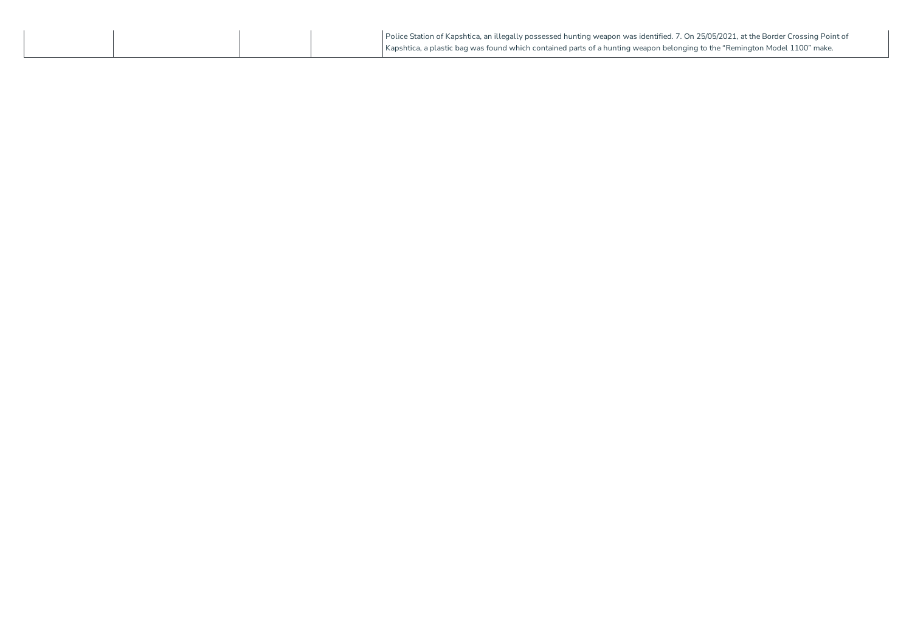|  | Police Station of Kapshtica, an illegally possessed hunting weapon was identified. 7. On 25/05/2021, at the Border Crossing Point of |
|--|--------------------------------------------------------------------------------------------------------------------------------------|
|  | Kapshtica, a plastic bag was found which contained parts of a hunting weapon belonging to the "Remington Model 1100" make.           |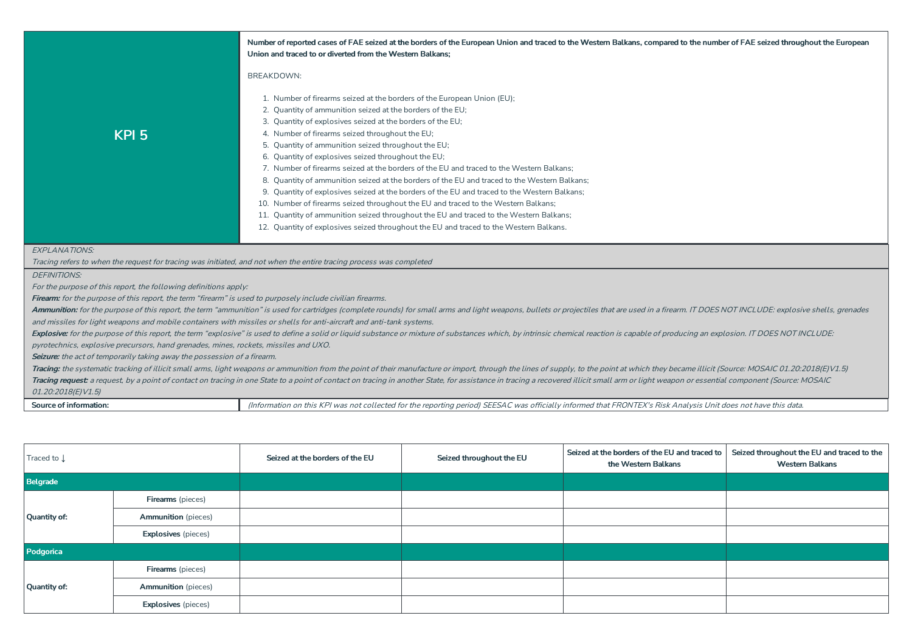|                                                                                                                       | Number of reported cases of FAE seized at the borders of the European Union and traced to the Western Balkans, compared to the number of FAE seized throughout the European                                                    |  |  |  |  |  |  |  |
|-----------------------------------------------------------------------------------------------------------------------|--------------------------------------------------------------------------------------------------------------------------------------------------------------------------------------------------------------------------------|--|--|--|--|--|--|--|
|                                                                                                                       | Union and traced to or diverted from the Western Balkans;                                                                                                                                                                      |  |  |  |  |  |  |  |
|                                                                                                                       | <b>BREAKDOWN:</b>                                                                                                                                                                                                              |  |  |  |  |  |  |  |
|                                                                                                                       | 1. Number of firearms seized at the borders of the European Union (EU);<br>2. Quantity of ammunition seized at the borders of the EU;                                                                                          |  |  |  |  |  |  |  |
|                                                                                                                       | 3. Quantity of explosives seized at the borders of the EU;                                                                                                                                                                     |  |  |  |  |  |  |  |
|                                                                                                                       | 4. Number of firearms seized throughout the EU;                                                                                                                                                                                |  |  |  |  |  |  |  |
| KPI <sub>5</sub>                                                                                                      | 5. Quantity of ammunition seized throughout the EU;                                                                                                                                                                            |  |  |  |  |  |  |  |
|                                                                                                                       | 6. Quantity of explosives seized throughout the EU;                                                                                                                                                                            |  |  |  |  |  |  |  |
|                                                                                                                       | 7. Number of firearms seized at the borders of the EU and traced to the Western Balkans:                                                                                                                                       |  |  |  |  |  |  |  |
|                                                                                                                       | 8. Quantity of ammunition seized at the borders of the EU and traced to the Western Balkans;                                                                                                                                   |  |  |  |  |  |  |  |
|                                                                                                                       | 9. Quantity of explosives seized at the borders of the EU and traced to the Western Balkans;                                                                                                                                   |  |  |  |  |  |  |  |
|                                                                                                                       | 10. Number of firearms seized throughout the EU and traced to the Western Balkans;                                                                                                                                             |  |  |  |  |  |  |  |
|                                                                                                                       | 11. Quantity of ammunition seized throughout the EU and traced to the Western Balkans;                                                                                                                                         |  |  |  |  |  |  |  |
|                                                                                                                       | 12. Quantity of explosives seized throughout the EU and traced to the Western Balkans.                                                                                                                                         |  |  |  |  |  |  |  |
|                                                                                                                       |                                                                                                                                                                                                                                |  |  |  |  |  |  |  |
| <b>EXPLANATIONS:</b>                                                                                                  |                                                                                                                                                                                                                                |  |  |  |  |  |  |  |
| Tracing refers to when the request for tracing was initiated, and not when the entire tracing process was completed   |                                                                                                                                                                                                                                |  |  |  |  |  |  |  |
| <b>DEFINITIONS:</b>                                                                                                   |                                                                                                                                                                                                                                |  |  |  |  |  |  |  |
| For the purpose of this report, the following definitions apply:                                                      |                                                                                                                                                                                                                                |  |  |  |  |  |  |  |
| Firearm: for the purpose of this report, the term "firearm" is used to purposely include civilian firearms.           |                                                                                                                                                                                                                                |  |  |  |  |  |  |  |
|                                                                                                                       | Ammunition: for the purpose of this report, the term "ammunition" is used for cartridges (complete rounds) for small arms and light weapons, bullets or projectiles that are used in a firearm. IT DOES NOT INCLUDE: explosive |  |  |  |  |  |  |  |
| and missiles for light weapons and mobile containers with missiles or shells for anti-aircraft and anti-tank systems. |                                                                                                                                                                                                                                |  |  |  |  |  |  |  |
|                                                                                                                       | Explosive: for the purpose of this report, the term "explosive" is used to define a solid or liquid substance or mixture of substances which, by intrinsic chemical reaction is capable of producing an explosion. IT DOES NOT |  |  |  |  |  |  |  |
| pyrotechnics, explosive precursors, hand grenades, mines, rockets, missiles and UXO.                                  |                                                                                                                                                                                                                                |  |  |  |  |  |  |  |
| Seizure: the act of temporarily taking away the possession of a firearm.                                              |                                                                                                                                                                                                                                |  |  |  |  |  |  |  |
|                                                                                                                       | Tracing: the systematic tracking of illicit small arms, light weapons or ammunition from the point of their manufacture or import, through the lines of supply, to the point at which they became illicit (Source: MOSAIC 01.2 |  |  |  |  |  |  |  |
|                                                                                                                       | Tracing request: a request, by a point of contact on tracing in one State to a point of contact on tracing in another State, for assistance in tracing a recovered illicit small arm or light weapon or essential component (S |  |  |  |  |  |  |  |
| 01.20:2018(E)V1.5)                                                                                                    |                                                                                                                                                                                                                                |  |  |  |  |  |  |  |
| Source of information:                                                                                                | (Information on this KPI was not collected for the reporting period) SEESAC was officially informed that FRONTEX's Risk Analysis Unit does not have this data.                                                                 |  |  |  |  |  |  |  |

| Traced to ↓                |                            | Seized at the borders of the EU | Seized throughout the EU | Seized at the borders of the EU and traced to<br>the Western Balkans | Seized throughout the EU and traced to the<br><b>Western Balkans</b> |
|----------------------------|----------------------------|---------------------------------|--------------------------|----------------------------------------------------------------------|----------------------------------------------------------------------|
| Belgrade                   |                            |                                 |                          |                                                                      |                                                                      |
|                            | <b>Firearms</b> (pieces)   |                                 |                          |                                                                      |                                                                      |
| Quantity of:               | <b>Ammunition</b> (pieces) |                                 |                          |                                                                      |                                                                      |
| <b>Explosives</b> (pieces) |                            |                                 |                          |                                                                      |                                                                      |
| Podgorica                  |                            |                                 |                          |                                                                      |                                                                      |
|                            | Firearms (pieces)          |                                 |                          |                                                                      |                                                                      |
| Quantity of:               | <b>Ammunition</b> (pieces) |                                 |                          |                                                                      |                                                                      |
|                            | <b>Explosives</b> (pieces) |                                 |                          |                                                                      |                                                                      |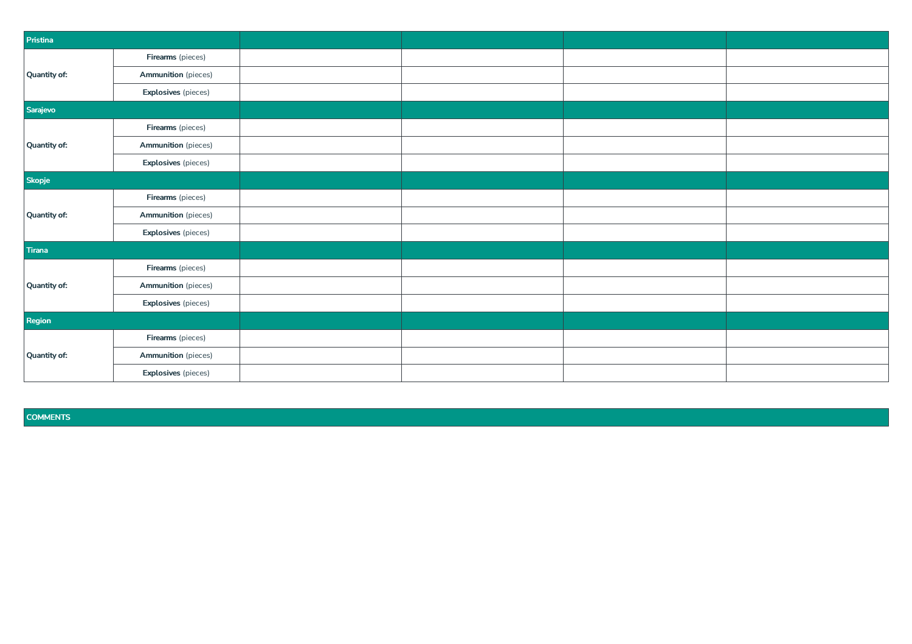| Pristina     |                            |  |  |
|--------------|----------------------------|--|--|
|              | Firearms (pieces)          |  |  |
| Quantity of: | <b>Ammunition</b> (pieces) |  |  |
|              | <b>Explosives</b> (pieces) |  |  |
| Sarajevo     |                            |  |  |
|              | Firearms (pieces)          |  |  |
| Quantity of: | <b>Ammunition</b> (pieces) |  |  |
|              | <b>Explosives</b> (pieces) |  |  |
| Skopje       |                            |  |  |
|              | Firearms (pieces)          |  |  |
| Quantity of: | <b>Ammunition</b> (pieces) |  |  |
|              | <b>Explosives</b> (pieces) |  |  |
| Tirana       |                            |  |  |
|              | Firearms (pieces)          |  |  |
| Quantity of: | <b>Ammunition</b> (pieces) |  |  |
|              | <b>Explosives</b> (pieces) |  |  |
| Region       |                            |  |  |
|              | Firearms (pieces)          |  |  |
| Quantity of: | <b>Ammunition</b> (pieces) |  |  |
|              | <b>Explosives</b> (pieces) |  |  |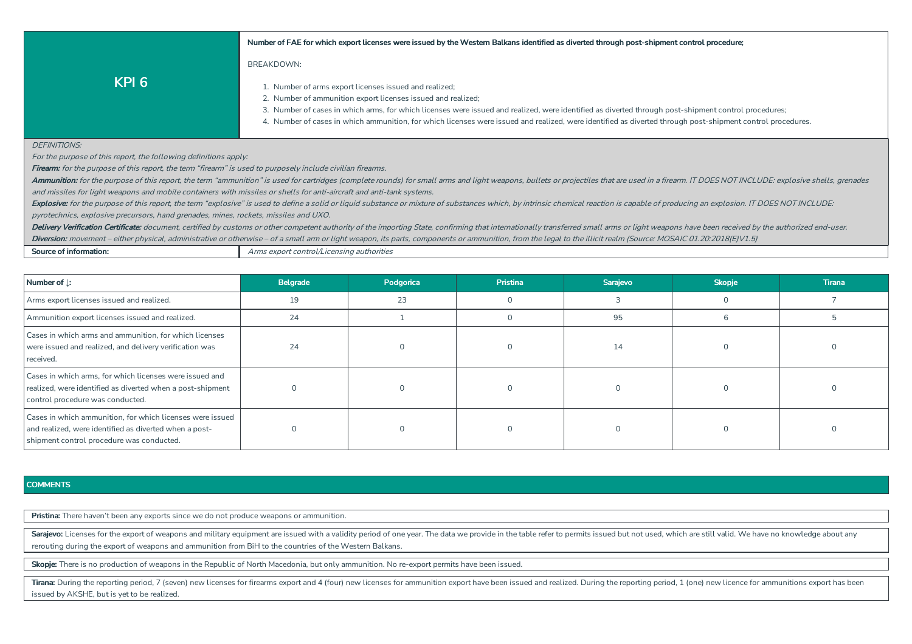#### Number of FAE for which export licenses were issued by the Western Balkans identified as diverted through post-shipment control procedure;

## BREAKDOWN:

**KPI 6**

- 1. Number of arms export licenses issued and realized;
- 2. Number of ammunition export licenses issued and realized;
- 3. Number of cases in which arms, for which licenses were issued and realized, were identified as diverted through post-shipment control procedures;
- 4. Number of cases in which ammunition, for which licenses were issued and realized, were identified as diverted through post-shipment control procedures.

#### DEFINITIONS'

For the purpose of this report, the following definitions apply:

**Firearm:** for the purpose of this report, the term "firearm" is used to purposely include civilian firearms.

Ammunition: for the purpose of this report, the term "ammunition" is used for cartridges (complete rounds) for small arms and light weapons, bullets or projectiles that are used in a firearm. IT DOES NOT INCLUDE: explosive and missiles for light weapons and mobile containers with missiles or shells for anti-aircraft and anti-tank systems.

Explosive: for the purpose of this report, the term "explosive" is used to define a solid or liquid substance or mixture of substances which, by intrinsic chemical reaction is capable of producing an explosion. IT DOES NOT pyrotechnics, explosive precursors, hand grenades, mines, rockets, missiles and UXO.

Delivery Verification Certificate: document, certified by customs or other competent authority of the importing State, confirming that internationally transferred small arms or light weapons have been received by the autho

Diversion: movement – either physical, administrative or otherwise – of a small arm or light weapon, its parts, components or ammunition, from the legal to the illicit realm (Source: MOSAIC 01.20:2018(E)V1.5)

|  | Source of information: |  |
|--|------------------------|--|
|--|------------------------|--|

Arms export control/Licensing authorities

| Number of J:                                                                                                                                                     | Belgrade | Podgorica | <b>Pristina</b> | Sarajevo | <b>Skopje</b> | <b>Tirana</b> |
|------------------------------------------------------------------------------------------------------------------------------------------------------------------|----------|-----------|-----------------|----------|---------------|---------------|
| Arms export licenses issued and realized.                                                                                                                        | 19       | 23        |                 |          | $\Omega$      |               |
| Ammunition export licenses issued and realized.                                                                                                                  | 24       |           |                 | 95       |               |               |
| Cases in which arms and ammunition, for which licenses<br>were issued and realized, and delivery verification was<br>received.                                   | 24       |           |                 | 14       |               |               |
| Cases in which arms, for which licenses were issued and<br>realized, were identified as diverted when a post-shipment<br>control procedure was conducted.        |          |           |                 |          |               |               |
| Cases in which ammunition, for which licenses were issued<br>and realized, were identified as diverted when a post-<br>shipment control procedure was conducted. |          |           |                 |          |               |               |

#### **COMMENTS**

Pristina: There haven't been any exports since we do not produce weapons or ammunition.

Sarajevo: Licenses for the export of weapons and military equipment are issued with a validity period of one year. The data we provide in the table refer to permits issued but not used, which are still valid. We have no kn rerouting during the export of weapons and ammunition from BiH to the countries of the Western Balkans.

Skopje: There is no production of weapons in the Republic of North Macedonia, but only ammunition. No re-export permits have been issued.

Tirana: During the reporting period, 7 (seven) new licenses for firearms export and 4 (four) new licenses for ammunition export have been issued and realized. During the reporting period, 1 (one) new licence for ammunition issued by AKSHE, but is yet to be realized.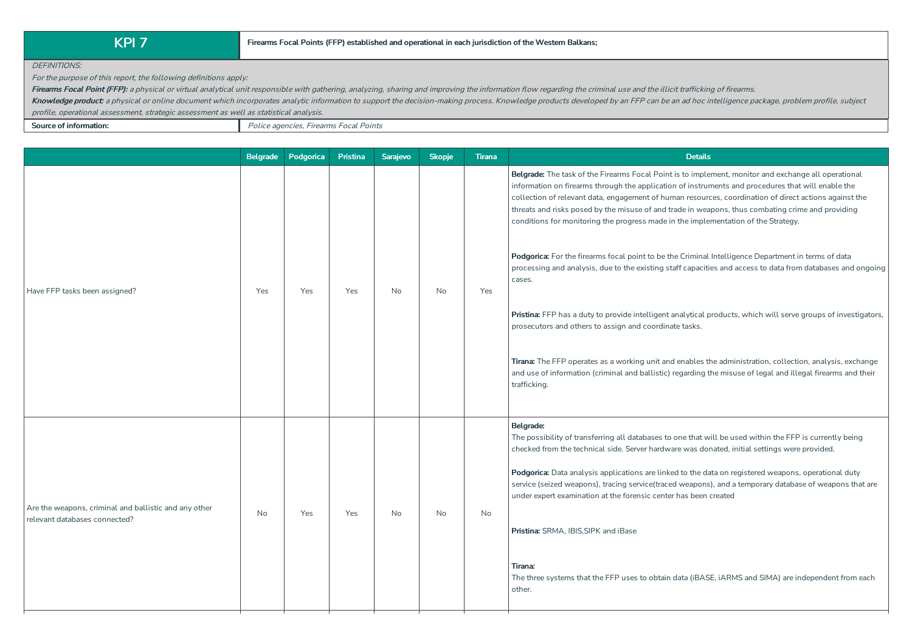DEFINITIONS:

For the purpose of this report, the following definitions apply:

Firearms Focal Point (FFP): a physical or virtual analytical unit responsible with gathering, analyzing, sharing and improving the information flow regarding the criminal use and the illicit trafficking of firearms.

Knowledge product: a physical or online document which incorporates analytic information to support the decision-making process. Knowledge products developed by an FFP can be an ad hoc intelligence package, problem profile profile, operational assessment, strategic assessment as well as statistical analysis.

**Source of information:** Police agencies, Firearms Focal Points

|                                                                                        | <b>Belgrade</b> | Podgorica | Pristina | Sarajevo  | <b>Skopje</b> | <b>Tirana</b> | <b>Details</b>                                                                                                                                                                                                                                                                                                                                                                                                                                                                                                                                                                                                                                                                                                                                                                                                                                                                                                                                                                                                                                                                                                                                                           |
|----------------------------------------------------------------------------------------|-----------------|-----------|----------|-----------|---------------|---------------|--------------------------------------------------------------------------------------------------------------------------------------------------------------------------------------------------------------------------------------------------------------------------------------------------------------------------------------------------------------------------------------------------------------------------------------------------------------------------------------------------------------------------------------------------------------------------------------------------------------------------------------------------------------------------------------------------------------------------------------------------------------------------------------------------------------------------------------------------------------------------------------------------------------------------------------------------------------------------------------------------------------------------------------------------------------------------------------------------------------------------------------------------------------------------|
| Have FFP tasks been assigned?                                                          | Yes             | Yes       | Yes      | <b>No</b> | No            | Yes           | Belgrade: The task of the Firearms Focal Point is to implement, monitor and exchange all operational<br>information on firearms through the application of instruments and procedures that will enable the<br>collection of relevant data, engagement of human resources, coordination of direct actions against the<br>threats and risks posed by the misuse of and trade in weapons, thus combating crime and providing<br>conditions for monitoring the progress made in the implementation of the Strategy.<br>Podgorica: For the firearms focal point to be the Criminal Intelligence Department in terms of data<br>processing and analysis, due to the existing staff capacities and access to data from databases and ongoing<br>cases.<br>Pristina: FFP has a duty to provide intelligent analytical products, which will serve groups of investigators,<br>prosecutors and others to assign and coordinate tasks.<br>Tirana: The FFP operates as a working unit and enables the administration, collection, analysis, exchange<br>and use of information (criminal and ballistic) regarding the misuse of legal and illegal firearms and their<br>trafficking. |
| Are the weapons, criminal and ballistic and any other<br>relevant databases connected? | <b>No</b>       | Yes       | Yes      | <b>No</b> | No            | No            | Belgrade:<br>The possibility of transferring all databases to one that will be used within the FFP is currently being<br>checked from the technical side. Server hardware was donated, initial settings were provided.<br>Podgorica: Data analysis applications are linked to the data on registered weapons, operational duty<br>service (seized weapons), tracing service(traced weapons), and a temporary database of weapons that are<br>under expert examination at the forensic center has been created<br>Pristina: SRMA, IBIS, SIPK and iBase<br>Tirana:<br>The three systems that the FFP uses to obtain data (iBASE, iARMS and SIMA) are independent from each<br>other.                                                                                                                                                                                                                                                                                                                                                                                                                                                                                       |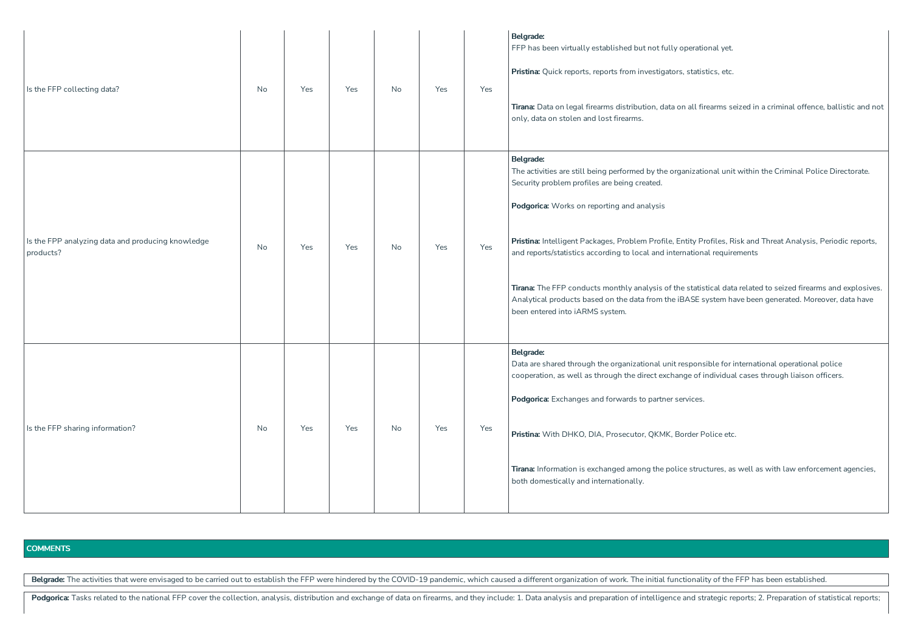| Is the FFP collecting data?                                    | No        | Yes | Yes | No        | Yes | Yes | Belgrade:<br>FFP has been virtually established but not fully operational yet.<br>Pristina: Quick reports, reports from investigators, statistics, etc.<br>Tirana: Data on legal firearms distribution, data on all firearms seized in a criminal offence, ballistic and not<br>only, data on stolen and lost firearms.                                                                                                                                                                                                                                                                                                                                                        |
|----------------------------------------------------------------|-----------|-----|-----|-----------|-----|-----|--------------------------------------------------------------------------------------------------------------------------------------------------------------------------------------------------------------------------------------------------------------------------------------------------------------------------------------------------------------------------------------------------------------------------------------------------------------------------------------------------------------------------------------------------------------------------------------------------------------------------------------------------------------------------------|
| Is the FPP analyzing data and producing knowledge<br>products? | <b>No</b> | Yes | Yes | <b>No</b> | Yes | Yes | Belgrade:<br>The activities are still being performed by the organizational unit within the Criminal Police Directorate.<br>Security problem profiles are being created.<br>Podgorica: Works on reporting and analysis<br>Pristina: Intelligent Packages, Problem Profile, Entity Profiles, Risk and Threat Analysis, Periodic reports,<br>and reports/statistics according to local and international requirements<br>Tirana: The FFP conducts monthly analysis of the statistical data related to seized firearms and explosives.<br>Analytical products based on the data from the iBASE system have been generated. Moreover, data have<br>been entered into iARMS system. |
| Is the FFP sharing information?                                | No        | Yes | Yes | No        | Yes | Yes | Belgrade:<br>Data are shared through the organizational unit responsible for international operational police<br>cooperation, as well as through the direct exchange of individual cases through liaison officers.<br>Podgorica: Exchanges and forwards to partner services.<br>Pristina: With DHKO, DIA, Prosecutor, QKMK, Border Police etc.<br>Tirana: Information is exchanged among the police structures, as well as with law enforcement agencies,<br>both domestically and internationally.                                                                                                                                                                            |

Belgrade: The activities that were envisaged to be carried out to establish the FFP were hindered by the COVID-19 pandemic, which caused a different organization of work. The initial functionality of the FFP has been estab

Podgorica: Tasks related to the national FFP cover the collection, analysis, distribution and exchange of data on firearms, and they include: 1. Data analysis and preparation of intelligence and strategic reports; 2. Prepa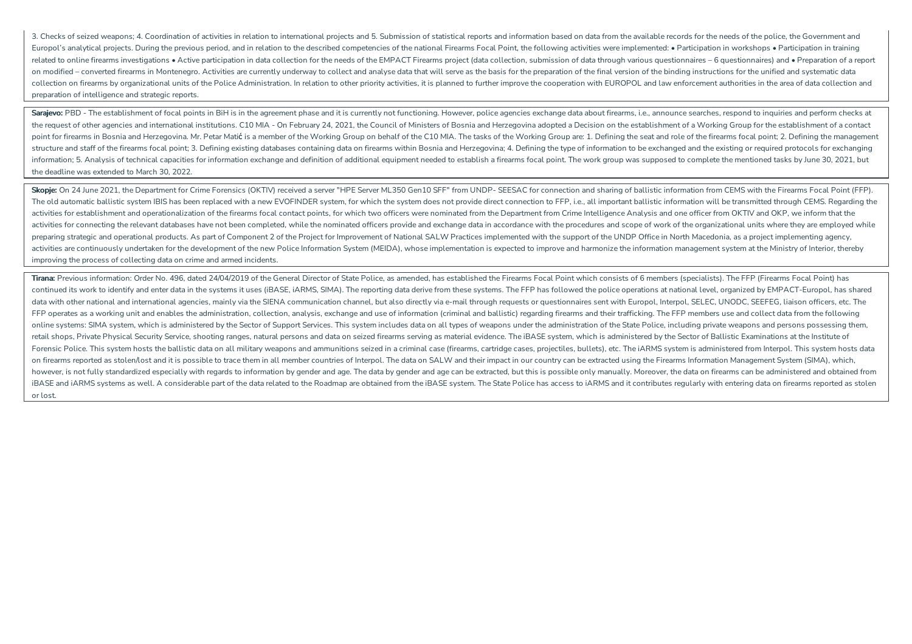3. Checks of seized weapons: 4. Coordination of activities in relation to international projects and 5. Submission of statistical reports and information based on data from the available records for the needs of the police Europol's analytical projects. During the previous period, and in relation to the described competencies of the national Firearms Focal Point, the following activities were implemented: • Participation in workshops • Parti related to online firearms investigations • Active participation in data collection for the needs of the EMPACT Firearms project (data collection, submission of data through various questionnaires – 6 questionnaires) and • on modified - converted firearms in Montenegro. Activities are currently underway to collect and analyse data that will serve as the basis for the preparation of the final version of the binding instructions for the unifie collection on firearms by organizational units of the Police Administration. In relation to other priority activities, it is planned to further improve the cooperation with EUROPOL and law enforcement authorities in the ar preparation of intelligence and strategic reports.

Sarajevo: PBD - The establishment of focal points in BiH is in the agreement phase and it is currently not functioning. However, police agencies exchange data about firearms, i.e., announce searches, respond to inquiries a the request of other agencies and international institutions. C10 MIA - On February 24, 2021, the Council of Ministers of Bosnia and Herzegovina adopted a Decision on the establishment of a Working Group for the establishm point for firearms in Bosnia and Herzegovina, Mr. Petar Matic is a member of the Working Group on behalf of the C10 MIA. The tasks of the Working Group are: 1. Defining the seat and role of the firearms focal point: 2. Def structure and staff of the firearms focal point; 3. Defining existing databases containing data on firearms within Bosnia and Herzegovina; 4. Defining the type of information to be exchanged and the existing or required pr information: 5. Analysis of technical capacities for information exchange and definition of additional equipment needed to establish a firearms focal point. The work group was supposed to complete the mentioned tasks by Ju the deadline was extended to March 30, 2022.

Skopie: On 24 June 2021, the Department for Crime Forensics (OKTIV) received a server "HPE Server ML350 Gen10 SFF" from UNDP- SEESAC for connection and sharing of ballistic information from CEMS with the Firearms Focal Poi The old automatic ballistic system IBIS has been replaced with a new EVOFINDER system, for which the system does not provide direct connection to FFP, i.e., all important ballistic information will be transmitted through C activities for establishment and operationalization of the firearms focal contact points, for which two officers were nominated from the Department from Crime Intelligence Analysis and one officer from OKTIV and OKP, we in activities for connecting the relevant databases have not been completed, while the nominated officers provide and exchange data in accordance with the procedures and scope of work of the organizational units where they ar preparing strategic and operational products. As part of Component 2 of the Project for Improvement of National SALW Practices implemented with the support of the UNDP Office in North Macedonia, as a project implementing a activities are continuously undertaken for the development of the new Police Information System (MEIDA), whose implementation is expected to improve and harmonize the information management system at the Ministry of Interi improving the process of collecting data on crime and armed incidents.

Tirana: Previous information: Order No. 496, dated 24/04/2019 of the General Director of State Police, as amended, has established the Firearms Focal Point which consists of 6 members (specialists). The FFP (Firearms Focal continued its work to identify and enter data in the systems it uses (iBASE, iARMS, SIMA). The reporting data derive from these systems. The FFP has followed the police operations at national level, organized by EMPACT-Eur data with other national and international agencies, mainly via the SIENA communication channel, but also directly via e-mail through requests or questionnaires sent with Europol, Interpol, SELEC, UNODC, SEEFEG, liaison of FFP operates as a working unit and enables the administration, collection, analysis, exchange and use of information (criminal and ballistic) regarding firearms and their trafficking. The FFP members use and collect data f online systems: SIMA system, which is administered by the Sector of Support Services. This system includes data on all types of weapons under the administration of the State Police, including private weapons and persons po retail shops. Private Physical Security Service, shooting ranges, natural persons and data on seized firearms serving as material evidence. The iBASE system, which is administered by the Sector of Ballistic Examinations at Forensic Police. This system hosts the ballistic data on all military weapons and ammunitions seized in a criminal case (firearms, cartridge cases, projectiles, bullets), etc. The iARMS system is administered from Interpol on firearms reported as stolen/lost and it is possible to trace them in all member countries of Interpol. The data on SALW and their impact in our country can be extracted using the Firearms Information Management System ( however, is not fully standardized especially with regards to information by gender and age. The data by gender and age can be extracted, but this is possible only manually. Moreover, the data on firearms can be administer iBASE and iARMS systems as well. A considerable part of the data related to the Roadmap are obtained from the iBASE system. The State Police has access to iARMS and it contributes regularly with entering data on firearms r or lost.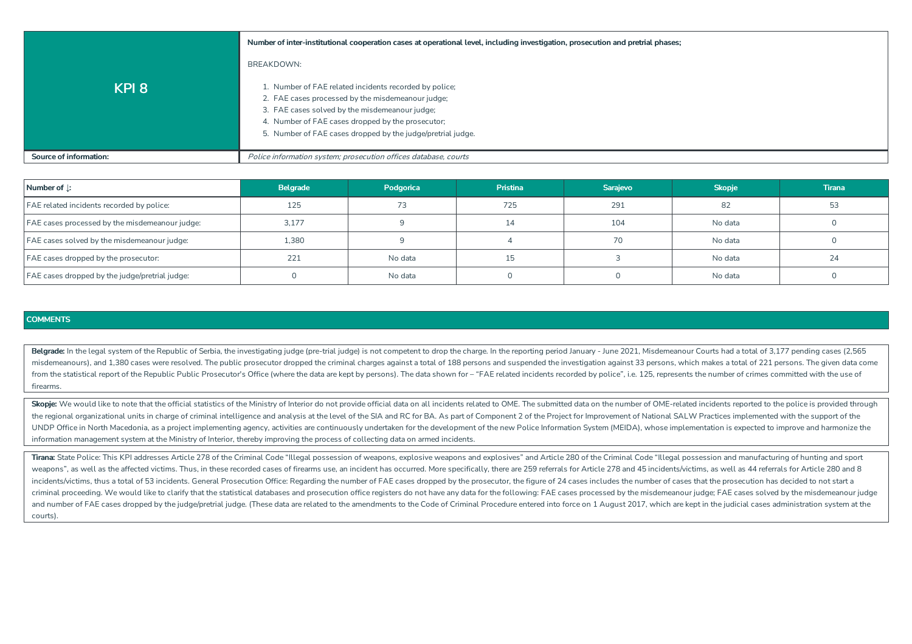|                               | Number of inter-institutional cooperation cases at operational level, including investigation, prosecution and pretrial phases;                                                                                                                                                   |
|-------------------------------|-----------------------------------------------------------------------------------------------------------------------------------------------------------------------------------------------------------------------------------------------------------------------------------|
|                               | BREAKDOWN:                                                                                                                                                                                                                                                                        |
| KPI <sub>8</sub>              | 1. Number of FAE related incidents recorded by police;<br>2. FAE cases processed by the misdemeanour judge;<br>3. FAE cases solved by the misdemeanour judge;<br>4. Number of FAE cases dropped by the prosecutor;<br>5. Number of FAE cases dropped by the judge/pretrial judge. |
| <b>Source of information:</b> | Police information system; prosecution offices database, courts                                                                                                                                                                                                                   |

| Number of $\perp$ :                            | <b>Belgrade</b> | Podgorica | <b>Pristina</b> | Sarajevo       | <b>Skopje</b> | <b>Tirana</b> |
|------------------------------------------------|-----------------|-----------|-----------------|----------------|---------------|---------------|
| FAE related incidents recorded by police:      | 125             |           | 725             | 291            | 82            | 53            |
| FAE cases processed by the misdemeanour judge: | 3,177           |           | 14              | 104<br>No data |               |               |
| FAE cases solved by the misdemeanour judge:    | 1,380           |           |                 | 70             | No data       |               |
| FAE cases dropped by the prosecutor:           | 221             | No data   |                 |                | No data       |               |
| FAE cases dropped by the judge/pretrial judge: |                 | No data   |                 |                | No data       |               |

Belgrade: In the legal system of the Republic of Serbia, the investigating judge (pre-trial judge) is not competent to drop the charge. In the reporting period January - June 2021, Misdemeanour Courts had a total of 3,177 misdemeanours), and 1.380 cases were resolved. The public prosecutor dropped the criminal charges against a total of 188 persons and suspended the investigation against 33 persons, which makes a total of 221 persons. The g from the statistical report of the Republic Public Prosecutor's Office (where the data are kept by persons). The data shown for - "FAE related incidents recorded by police", i.e. 125, represents the number of crimes commit firearms.

Skopje: We would like to note that the official statistics of the Ministry of Interior do not provide official data on all incidents related to OME. The submitted data on the number of OME-related incidents reported to the the regional organizational units in charge of criminal intelligence and analysis at the level of the SIA and RC for BA. As part of Component 2 of the Project for Improvement of National SALW Practices implemented with the UNDP Office in North Macedonia, as a project implementing agency, activities are continuously undertaken for the development of the new Police Information System (MEIDA), whose implementation is expected to improve and har information management system at the Ministry of Interior, thereby improving the process of collecting data on armed incidents.

Tirana: State Police: This KPI addresses Article 278 of the Criminal Code "Illegal possession of weapons, explosive weapons and explosives" and Article 280 of the Criminal Code "Illegal possession and manufacturing of hunt weapons", as well as the affected victims. Thus, in these recorded cases of firearms use, an incident has occurred. More specifically, there are 259 referrals for Article 278 and 45 incidents/victims, as well as 44 referra incidents/victims, thus a total of 53 incidents. General Prosecution Office: Regarding the number of FAE cases dropped by the prosecutor, the figure of 24 cases includes the number of cases that the prosecution has decided criminal proceeding. We would like to clarify that the statistical databases and prosecution office registers do not have any data for the following: FAE cases processed by the misdemeanour judge; FAE cases solved by the m and number of FAE cases dropped by the judge/pretrial judge. (These data are related to the amendments to the Code of Criminal Procedure entered into force on 1 August 2017, which are kept in the judicial cases administrat courts).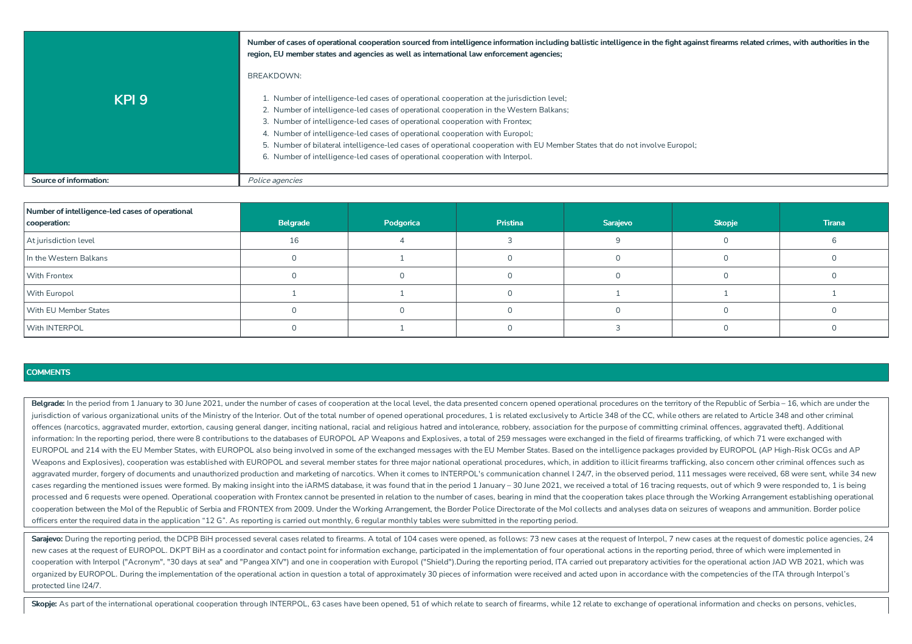|                        | Number of cases of operational cooperation sourced from intelligence information including ballistic intelligence in the fight against firearms related crimes, with authorities in the<br>region, EU member states and agencies as well as international law enforcement agencies;                                                                                                                                                                                                                                                                                 |
|------------------------|---------------------------------------------------------------------------------------------------------------------------------------------------------------------------------------------------------------------------------------------------------------------------------------------------------------------------------------------------------------------------------------------------------------------------------------------------------------------------------------------------------------------------------------------------------------------|
|                        | BREAKDOWN:                                                                                                                                                                                                                                                                                                                                                                                                                                                                                                                                                          |
| KPI <sub>9</sub>       | 1. Number of intelligence-led cases of operational cooperation at the jurisdiction level;<br>2. Number of intelligence-led cases of operational cooperation in the Western Balkans;<br>3. Number of intelligence-led cases of operational cooperation with Frontex;<br>4. Number of intelligence-led cases of operational cooperation with Europol;<br>5. Number of bilateral intelligence-led cases of operational cooperation with EU Member States that do not involve Europol;<br>6. Number of intelligence-led cases of operational cooperation with Interpol. |
| Source of information: | Police agencies                                                                                                                                                                                                                                                                                                                                                                                                                                                                                                                                                     |

| Number of intelligence-led cases of operational<br>cooperation: | Belgrade | Podgorica | Pristina | Sarajevo | <b>Skopje</b> | <b>Tirana</b> |
|-----------------------------------------------------------------|----------|-----------|----------|----------|---------------|---------------|
| At jurisdiction level                                           |          |           |          |          |               |               |
| In the Western Balkans                                          |          |           |          |          |               |               |
| <b>With Frontex</b>                                             |          |           |          |          |               |               |
| With Europol                                                    |          |           |          |          |               |               |
| With EU Member States                                           |          |           |          |          |               |               |
| With INTERPOL                                                   |          |           |          |          |               |               |

Belgrade: In the period from 1 January to 30 June 2021, under the number of cases of cooperation at the local level, the data presented concern opened operational procedures on the territory of the Republic of Serbia - 16, jurisdiction of various organizational units of the Ministry of the Interior. Out of the total number of opened operational procedures, 1 is related exclusively to Article 348 of the CC, while others are related to Article offences (narcotics, aggravated murder, extortion, causing general danger, inciting national, racial and religious hatred and intolerance, robbery, association for the purpose of committing criminal offences, aggravated th information: In the reporting period, there were 8 contributions to the databases of EUROPOL AP Weapons and Explosives, a total of 259 messages were exchanged in the field of firearms trafficking, of which 71 were exchange EUROPOL and 214 with the EU Member States, with EUROPOL also being involved in some of the exchanged messages with the EU Member States. Based on the intelligence packages provided by EUROPOL (AP High-Risk OCGs and AP) Weapons and Explosives), cooperation was established with EUROPOL and several member states for three major national operational procedures, which, in addition to illicit firearms trafficking, also concern other criminal o aggravated murder, forgery of documents and unauthorized production and marketing of narcotics. When it comes to INTERPOL's communication channel 124/7, in the observed period, 111 messages were received, 68 were sent, whi cases regarding the mentioned issues were formed. By making insight into the iARMS database, it was found that in the period 1 January - 30 June 2021, we received a total of 16 tracing requests, out of which 9 were respond processed and 6 requests were opened. Operational cooperation with Frontex cannot be presented in relation to the number of cases, bearing in mind that the cooperation takes place through the Working Arrangement establishi cooperation between the MoI of the Republic of Serbia and FRONTEX from 2009. Under the Working Arrangement, the Border Police Directorate of the MoI collects and analyses data on seizures of weapons and ammunition. Border officers enter the required data in the application "12 G". As reporting is carried out monthly, 6 regular monthly tables were submitted in the reporting period.

Sarajevo: During the reporting period, the DCPB BiH processed several cases related to firearms. A total of 104 cases were opened, as follows: 73 new cases at the request of Interpol, 7 new cases at the request of domestic new cases at the request of EUROPOL. DKPT BiH as a coordinator and contact point for information exchange, participated in the implementation of four operational actions in the reporting period, three of which were impleme cooperation with Interpol ("Acronym", "30 days at sea" and "Pangea XIV") and one in cooperation with Europol ("Shield").During the reporting period, ITA carried out preparatory activities for the operational action JAD WB organized by EUROPOL. During the implementation of the operational action in question a total of approximately 30 pieces of information were received and acted upon in accordance with the competencies of the ITA through In protected line I24/7.

Skopje: As part of the international operational cooperation through INTERPOL, 63 cases have been opened, 51 of which relate to search of firearms, while 12 relate to exchange of operational information and checks on perso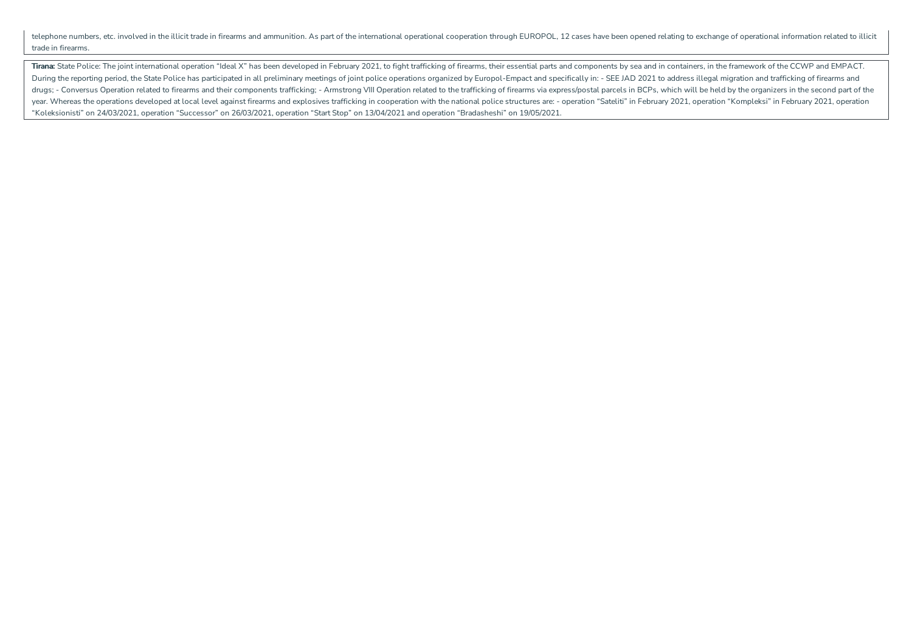telephone numbers, etc. involved in the illicit trade in firearms and ammunition. As part of the international operational cooperation through EUROPOL, 12 cases have been opened relating to exchange of operational informat trade in firearms.

Tirana: State Police: The joint international operation "Ideal X" has been developed in February 2021, to fight trafficking of firearms, their essential parts and components by sea and in containers, in the framework of th During the reporting period, the State Police has participated in all preliminary meetings of joint police operations organized by Europol-Empact and specifically in: - SEE JAD 2021 to address illegal migration and traffic drugs; - Conversus Operation related to firearms and their components trafficking; - Armstrong VIII Operation related to the trafficking of firearms via express/postal parcels in BCPs, which will be held by the organizers year. Whereas the operations developed at local level against firearms and explosives trafficking in cooperation with the national police structures are: - operation "Sateliti" in February 2021, operation "Kompleksi" in Fe "Koleksionisti" on 24/03/2021, operation"Successor" on 26/03/2021, operation"Start Stop" on 13/04/2021 and operation"Bradasheshi" on 19/05/2021.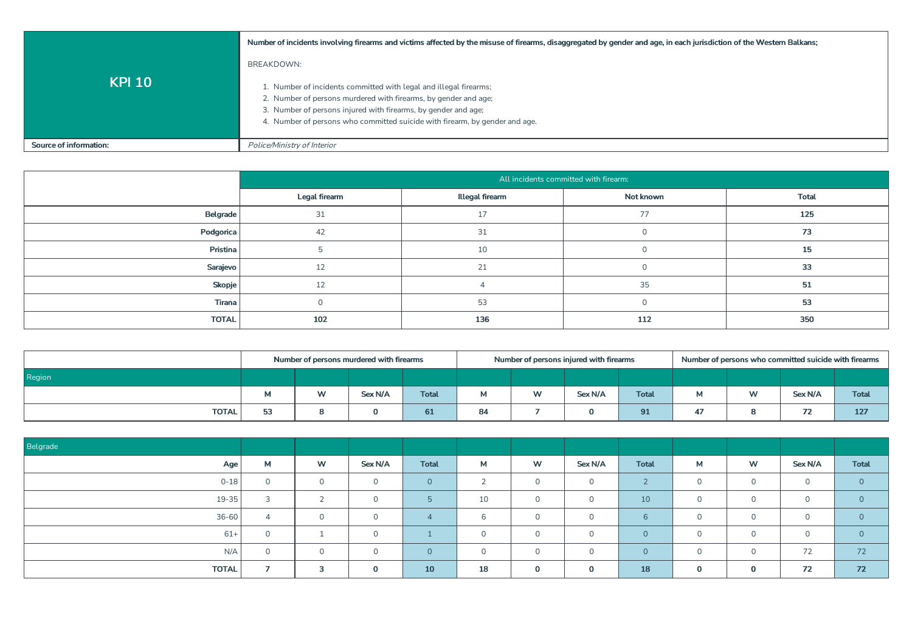|                        | Number of incidents involving firearms and victims affected by the misuse of firearms, disaggregated by gender and age, in each jurisdiction of the Western Balkans;                                                                                                                                |
|------------------------|-----------------------------------------------------------------------------------------------------------------------------------------------------------------------------------------------------------------------------------------------------------------------------------------------------|
| <b>KPI 10</b>          | BREAKDOWN:<br>1. Number of incidents committed with legal and illegal firearms;<br>2. Number of persons murdered with firearms, by gender and age;<br>3. Number of persons injured with firearms, by gender and age;<br>4. Number of persons who committed suicide with firearm, by gender and age. |
| Source of information: | Police/Ministry of Interior                                                                                                                                                                                                                                                                         |

|              |               |                 | All incidents committed with firearm: |              |
|--------------|---------------|-----------------|---------------------------------------|--------------|
|              | Legal firearm | Illegal firearm | Not known                             | <b>Total</b> |
| Belgrade     | 31            |                 | 77                                    | 125          |
| Podgorica    | 42            | $\overline{31}$ |                                       | 73           |
| Pristina     |               | 10              |                                       | 15           |
| Sarajevo     |               |                 |                                       | 33           |
| Skopje       | 12            |                 | 35                                    | 51           |
| Tirana       |               | 53              |                                       | 53           |
| <b>TOTAL</b> | 102           | 136             | 112                                   | 350          |

|              |    | Number of persons murdered with firearms |         |              |    | Number of persons injured with firearms |         |              | Number of persons who committed suicide with firearms |           |                              |              |  |
|--------------|----|------------------------------------------|---------|--------------|----|-----------------------------------------|---------|--------------|-------------------------------------------------------|-----------|------------------------------|--------------|--|
| Region       |    |                                          |         |              |    |                                         |         |              |                                                       |           |                              |              |  |
|              |    | W                                        | Sex N/A | <b>Total</b> | М  | W                                       | Sex N/A | <b>Total</b> | м                                                     | <b>MA</b> | Sex N/A                      | <b>Total</b> |  |
| <b>TOTAL</b> | E2 |                                          |         | 61           | 84 |                                         |         | 91           | 47                                                    |           | 7 <sub>2</sub><br>$\sqrt{2}$ | 127          |  |

| Belgrade     |          |            |          |              |                    |              |             |                        |             |             |          |              |
|--------------|----------|------------|----------|--------------|--------------------|--------------|-------------|------------------------|-------------|-------------|----------|--------------|
| Age          | M        | W          | Sex N/A  | <b>Total</b> | M                  | W            | Sex N/A     | <b>Total</b>           | М           | W           | Sex N/A  | <b>Total</b> |
| $0 - 18$     | $\Omega$ | $\circ$    | $\Omega$ | $\Omega$     | $\sim$<br>$\angle$ | $\mathsf{O}$ | $\circ$     | $\sim$<br>$\mathbf{Z}$ | $\mathbf 0$ | $\Omega$    | $\Omega$ | $\Omega$     |
| $19 - 35$    | 3        | $\sqrt{2}$ | $\Omega$ | 片            | 10                 | $\circ$      | $\Omega$    | 10                     | $\Omega$    | $\cap$      | $\cap$   | $\Omega$     |
| $36 - 60$    | 4        | $\Omega$   | $\Omega$ | $\Delta$     | 6                  | $\circ$      | $\Omega$    | 6                      | $\Omega$    | $\Omega$    | $\cap$   | $\Omega$     |
| $61+$        | $\Omega$ |            | $\Omega$ |              | $\Omega$           | $\Omega$     | $\Omega$    | $\Omega$               | $\Omega$    | $\cap$      | $\cap$   | $\Omega$     |
| N/A          | $\Omega$ | $\circ$    | $\Omega$ | $\Omega$     | $\Omega$           | $\circ$      | $\Omega$    | $\overline{0}$         | $\circ$     | $\cap$      | 72       | 72           |
| <b>TOTAL</b> |          | 3          | 0        | 10           | 18                 | $\mathbf 0$  | $\mathbf 0$ | <b>18</b>              | $\mathbf 0$ | $\mathbf 0$ | 72       | 72           |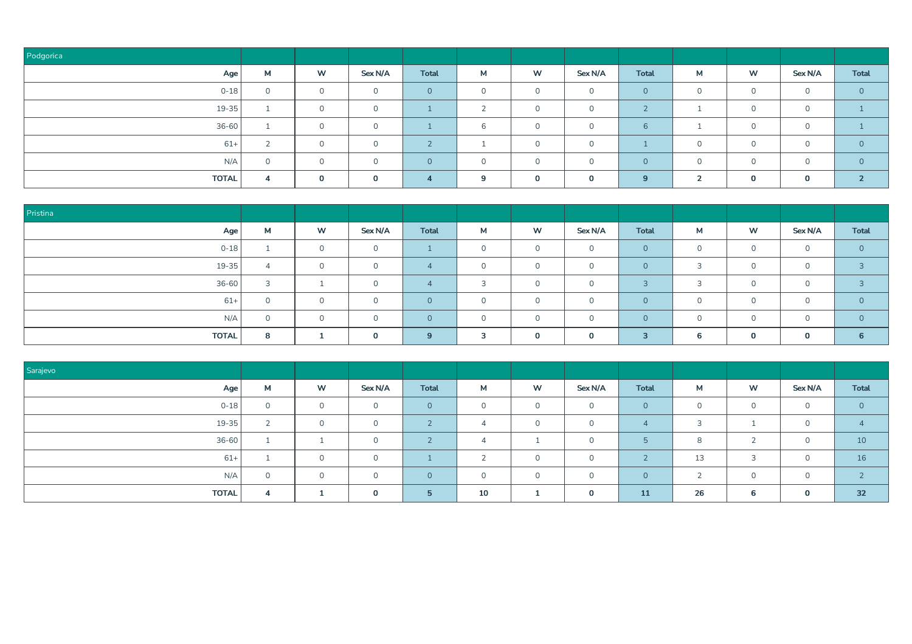| Podgorica    |        |              |              |              |          |              |          |              |                    |        |              |                |
|--------------|--------|--------------|--------------|--------------|----------|--------------|----------|--------------|--------------------|--------|--------------|----------------|
| Age          | M      | W            | Sex N/A      | <b>Total</b> | М        | W            | Sex N/A  | <b>Total</b> | М                  | W      | Sex N/A      | <b>Total</b>   |
| $0 - 18$     |        | $\circ$      | $\Omega$     | $\Omega$     | $\Omega$ | $\Omega$     | $\Omega$ | $\circ$      | $\Omega$           |        | $\Omega$     | $\overline{0}$ |
| $19 - 35$    |        | $\circ$      | $\circ$      |              | $\sim$   | $\mathsf{O}$ | $\Omega$ | $\bigcap$    |                    | $\cap$ | $\Omega$     |                |
| $36 - 60$    |        | $\circ$      | $\mathbf 0$  |              | 6        | $\Omega$     | $\Omega$ | 6            |                    | $\cap$ | $\mathbf{0}$ |                |
| $61+$        | $\sim$ | $\circ$      | $\mathbf 0$  |              |          | $\circ$      | $\Omega$ |              | $\Omega$           | $\cap$ | $\Omega$     | $\overline{0}$ |
| N/A          | $\sim$ | $\Omega$     | $\Omega$     | $\Omega$     | $\Omega$ | $\Omega$     | $\cap$   | $\Omega$     | $\Omega$           | $\cap$ | $\Omega$     | $\Omega$       |
| <b>TOTAL</b> | 4      | $\mathbf{0}$ | $\mathbf{0}$ | A            | 9        | $\mathbf{0}$ | $\Omega$ | 9            | $\mathbf{\hat{z}}$ |        | $\mathbf 0$  | $\sim$         |

| Pristina     |                        |                |              |              |          |          |          |                         |                                    |          |             |                |
|--------------|------------------------|----------------|--------------|--------------|----------|----------|----------|-------------------------|------------------------------------|----------|-------------|----------------|
| Age          | M                      | W              | Sex N/A      | <b>Total</b> | М        | W        | Sex N/A  | <b>Total</b>            | М                                  | W        | Sex N/A     | <b>Total</b>   |
| $0 - 18$     |                        | $\overline{0}$ | $\mathbf{0}$ |              | $\Omega$ | $\Omega$ | $\Omega$ | $\Omega$                | $\Omega$                           | $\Omega$ | $\Omega$    | $\circ$        |
| $19 - 35$    | $\boldsymbol{\Lambda}$ | $\circ$        | $\Omega$     |              | $\Omega$ | $\Omega$ |          | $\Omega$                | $\mathbf{a}$                       | $\Omega$ | $\sim$      | $\overline{a}$ |
| $36 - 60$    | $\mathcal{R}$          |                | $\Omega$     |              | 3        | $\Omega$ | $\Omega$ | $\overline{z}$          | $\sim$<br>$\overline{\phantom{a}}$ |          | $\Omega$    | $\mathbf{P}$   |
| $61+$        |                        | $\circ$        | $\cap$       | $\Omega$     |          | $\Omega$ |          | $\Omega$                | $\Omega$                           |          |             | $\Omega$       |
| N/A          | $\sim$                 | $\Omega$       | $\cap$       | $\Omega$     | $\cap$   | $\Omega$ | $\cap$   | $\Omega$                | $\cap$                             | $\cap$   | $\cap$      | $\Omega$       |
| <b>TOTAL</b> | 8                      |                | $\Omega$     | 9            | 3        |          | $\Omega$ | $\overline{\mathbf{3}}$ | 6                                  | $\Omega$ | $\mathbf 0$ | 6              |

| Sarajevo     |          |          |          |              |            |                      |          |           |                          |           |              |              |
|--------------|----------|----------|----------|--------------|------------|----------------------|----------|-----------|--------------------------|-----------|--------------|--------------|
| Age          | M        | W        | Sex N/A  | <b>Total</b> | M          | W                    | Sex N/A  | Total     | M                        | W         | Sex N/A      | <b>Total</b> |
| $0 - 18$     | $\Omega$ | $\Omega$ | $\Omega$ | $\Omega$     | $\Omega$   | $\circ$              | $\Omega$ | $\Omega$  | $\circ$                  | $\Omega$  | $\Omega$     |              |
| $19 - 35$    |          | $\Omega$ | $\Omega$ |              | $\Delta$   | $\Omega$             | $\cap$   | 4         | $\overline{\phantom{0}}$ |           | $\Omega$     |              |
| $36 - 60$    |          |          | $\cap$   |              |            |                      | ∩        | 5         | 8                        |           | $\Omega$     | 10           |
| $61+$        |          | $\Omega$ | $\Omega$ |              | $\sqrt{2}$ | $\Omega$             | $\cap$   | $\bigcap$ | 13                       | $\supset$ | $\Omega$     | 16           |
| N/A          | $\Omega$ | $\Omega$ | $\cap$   | $\cap$       | $\Omega$   | $\Omega$             |          | $\Omega$  | $\overline{\phantom{0}}$ | $\cap$    | $\mathbf{0}$ |              |
| <b>TOTAL</b> |          |          | $\Omega$ | 片            | 10         | $\blacktriangleleft$ | $\Omega$ | 11        | 26                       | 6         | $\mathbf 0$  | 32           |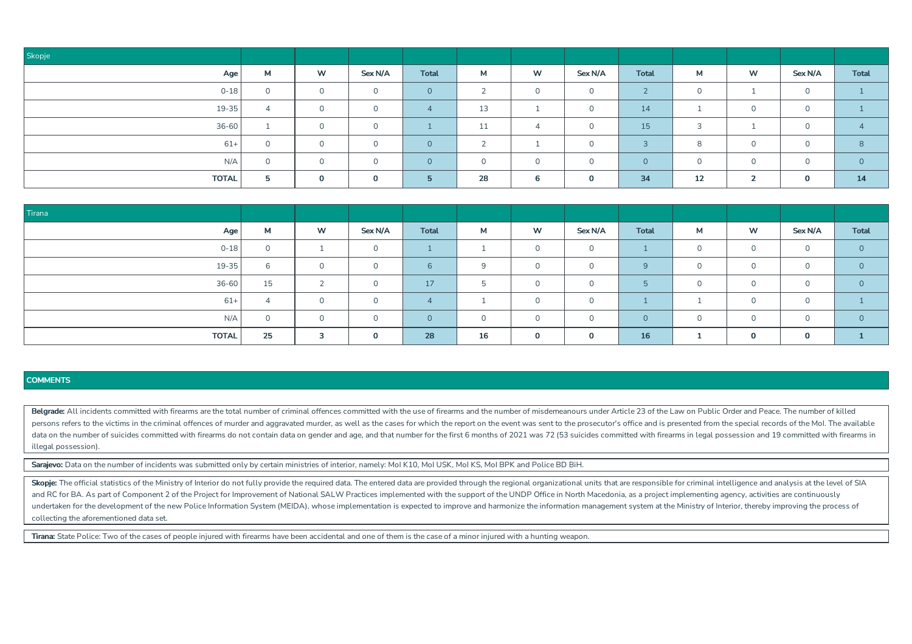| Skopje       |          |              |             |              |                |                |          |              |              |          |              |              |
|--------------|----------|--------------|-------------|--------------|----------------|----------------|----------|--------------|--------------|----------|--------------|--------------|
| Age          | M        | W            | Sex N/A     | <b>Total</b> | М              | W              | Sex N/A  | <b>Total</b> | M            | W        | Sex N/A      | <b>Total</b> |
| $0 - 18$     | $\Omega$ | $\circ$      | $\circ$     | $\Omega$     | $\bigcap$<br>∠ | $\overline{0}$ | $\Omega$ | $\sqrt{2}$   | $\Omega$     |          | $\cap$<br>J. |              |
| $19 - 35$    |          | $\circ$      | $\Omega$    |              | 13             |                |          | 14           |              |          | $\sim$       |              |
| $36 - 60$    |          | $\Omega$     | $\circ$     |              | 11             | $\overline{4}$ | $\Omega$ | 15           | $\mathbf{R}$ |          | $\Omega$     |              |
| $61+$        | $\cap$   | $\Omega$     | $\mathbf 0$ | $\Omega$     | $\sim$         |                | $\Omega$ | ີ            | 8            | $\Omega$ | $\cap$       | 8            |
| N/A          | $\cap$   | $\Omega$     | $\Omega$    | $\Omega$     | $\Omega$       | $\Omega$       | $\cap$   | $\Omega$     | $\cap$       | $\cap$   | $\cap$       | $\Omega$     |
| <b>TOTAL</b> | 5.       | $\mathbf{0}$ | $\Omega$    | $5^{\circ}$  | 28             | 6              | $\Omega$ | 34           | 12           | ∍        | $\Omega$     | 14           |

| Tirana       |          |           |          |              |          |              |          |                 |          |          |              |              |
|--------------|----------|-----------|----------|--------------|----------|--------------|----------|-----------------|----------|----------|--------------|--------------|
| Age          | M        | <b>W</b>  | Sex N/A  | <b>Total</b> | М        | W            | Sex N/A  | <b>Total</b>    | M        | W        | Sex N/A      | <b>Total</b> |
| $0 - 18$     | $\Omega$ |           | $\cap$   |              |          | $\Omega$     |          |                 | $\Omega$ |          | $\Omega$     |              |
| $19 - 35$    | $\sigma$ |           | $\cap$   |              | $\Omega$ | $\Omega$     |          | 9               | 0        |          | $\Omega$     |              |
| $36 - 60$    | 15       | $\bigcap$ | $\cap$   | 17           | -5       | $\Omega$     | $\cap$   | $5\overline{5}$ | $\Omega$ | $\cap$   | $\Omega$     |              |
| $61+$        |          | $\Omega$  | $\cap$   |              |          | $\Omega$     |          |                 |          |          | $\Omega$     |              |
| N/A          |          |           |          |              | $\sim$   | $\Omega$     |          | $\Omega$        | $\Omega$ |          | $\Omega$     |              |
| <b>TOTAL</b> | 25       | 3         | $\Omega$ | 28           | 16       | $\mathbf{0}$ | $\Omega$ | 16              | -4       | $\Omega$ | $\mathbf{0}$ |              |

Belgrade: All incidents committed with firearms are the total number of criminal offences committed with the use of firearms and the number of misdemeanours under Article 23 of the Law on Public Order and Peace. The number persons refers to the victims in the criminal offences of murder and aggravated murder, as well as the cases for which the report on the event was sent to the prosecutor's office and is presented from the special records o data on the number of suicides committed with firearms do not contain data on gender and age, and that number for the first 6 months of 2021 was 72 (53 suicides committed with firearms in legal possession and 19 committed illegal possession).

Sarajevo: Data on the number of incidents was submitted only by certain ministries of interior, namely: MoI K10, MoI USK, MoI KS, MoI BPK and Police BD BiH.

Skopje: The official statistics of the Ministry of Interior do not fully provide the required data. The entered data are provided through the regional organizational units that are responsible for criminal intelligence and and RC for BA. As part of Component 2 of the Project for Improvement of National SALW Practices implemented with the support of the UNDP Office in North Macedonia, as a project implementing agency, activities are continuou undertaken for the development of the new Police Information System (MEIDA), whose implementation is expected to improve and harmonize the information management system at the Ministry of Interior, thereby improving the pr collecting the aforementioned data set.

Tirana: State Police: Two of the cases of people injured with firearms have been accidental and one of them is the case of a minor injured with a hunting weapon.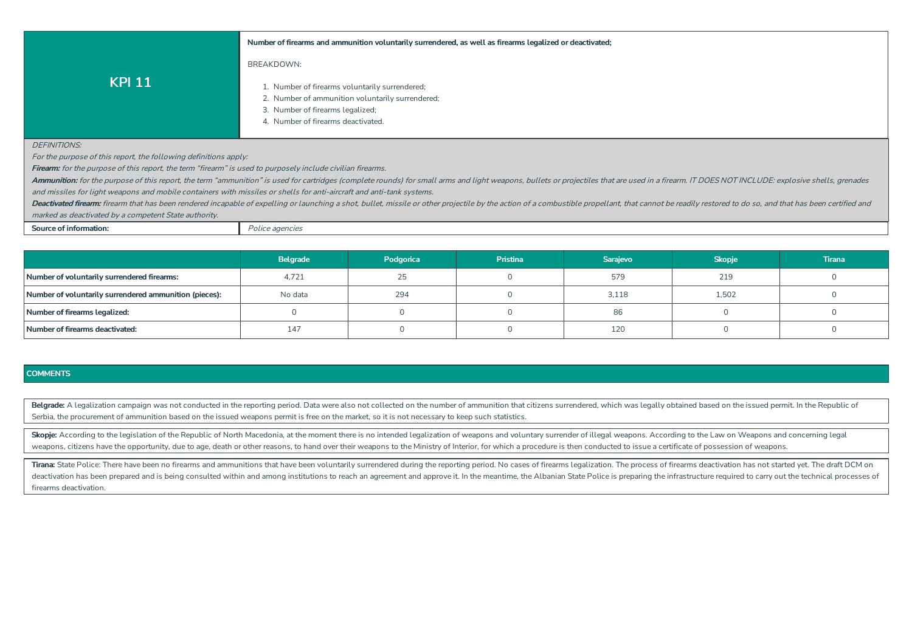#### **Numberof firearms and ammunition voluntarilysurrendered, as well as firearms legalized or deactivated;**

## BREAKDOWN:

- 1. Number of firearms voluntarily surrendered;
- 2. Number of ammunition voluntarily surrendered;
- 3. Number of firearms legalized;
- 4. Number of firearms deactivated.

#### DEFINITIONS'

For the purpose of this report, the following definitions apply:

**KPI 11**

**Firearm:** for the purpose of this report, the term "firearm" is used to purposely include civilian firearms.

Ammunition: for the purpose of this report, the term "ammunition" is used for cartridges (complete rounds) for small arms and light weapons, bullets or projectiles that are used in a firearm. IT DOES NOT INCLUDE: explosive and missiles for light weapons and mobile containers with missiles or shells for anti-aircraft and anti-tank systems.

Deactivated firearm: firearm that has been rendered incapable of expelling or launching a shot, bullet, missile or other projectile by the action of a combustible propellant, that cannot be readily restored to do so, and t marked as deactivated by a competent State authority.

**Source of information:** Police agencies

|                                                        | Belgrade | Podgorica | <b>Pristina</b> | Sarajevo | <b>Skopje</b> | Tirana |
|--------------------------------------------------------|----------|-----------|-----------------|----------|---------------|--------|
| Number of voluntarily surrendered firearms:            | 4,721    |           |                 | 579      | 219           |        |
| Number of voluntarily surrendered ammunition (pieces): | No data  | 294       |                 | 3,118    | 1,502         |        |
| Number of firearms legalized:                          |          |           |                 | 86       |               |        |
| Number of firearms deactivated:                        | 147      |           |                 | 120      |               |        |

### **COMMENTS**

Belgrade: A legalization campaign was not conducted in the reporting period. Data were also not collected on the number of ammunition that citizens surrendered, which was legally obtained based on the issued permit. In the Serbia, the procurement of ammunition based on the issued weapons permit is free on the market, so it is not necessary to keep such statistics.

Skopje: According to the legislation of the Republic of North Macedonia, at the moment there is no intended legalization of weapons and voluntary surrender of illegal weapons. According to the Law on Weapons and concerning weapons, citizens have the opportunity, due to age, death or other reasons, to hand over their weapons to the Ministry of Interior, for which a procedure is then conducted to issue a certificate of possession of weapons.

Tirana: State Police: There have been no firearms and ammunitions that have been voluntarily surrendered during the reporting period. No cases of firearms legalization. The process of firearms deactivation has not started deactivation has been prepared and is being consulted within and among institutions to reach an agreement and approve it. In the meantime, the Albanian State Police is preparing the infrastructure required to carry out the firearms deactivation.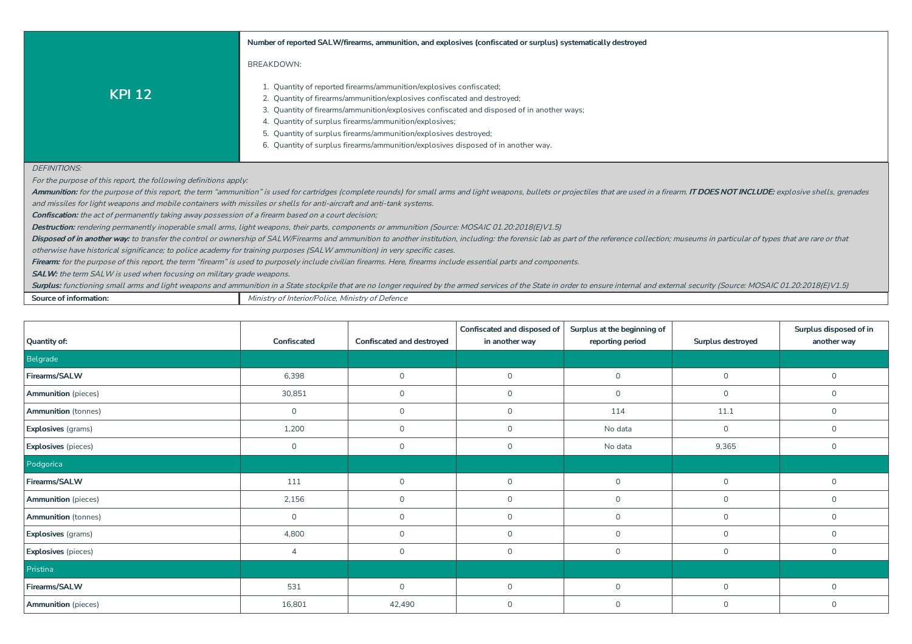|                                                                                                                       | Number of reported SALW/firearms, ammunition, and explosives (confiscated or surplus) systematically destroyed                                                                                                                      |
|-----------------------------------------------------------------------------------------------------------------------|-------------------------------------------------------------------------------------------------------------------------------------------------------------------------------------------------------------------------------------|
|                                                                                                                       | <b>BREAKDOWN:</b>                                                                                                                                                                                                                   |
| <b>KPI 12</b>                                                                                                         | 1. Quantity of reported firearms/ammunition/explosives confiscated;<br>2. Quantity of firearms/ammunition/explosives confiscated and destroyed;                                                                                     |
|                                                                                                                       | 3. Quantity of firearms/ammunition/explosives confiscated and disposed of in another ways;                                                                                                                                          |
|                                                                                                                       | 4. Quantity of surplus firearms/ammunition/explosives;                                                                                                                                                                              |
|                                                                                                                       | 5. Quantity of surplus firearms/ammunition/explosives destroyed;                                                                                                                                                                    |
|                                                                                                                       | 6. Quantity of surplus firearms/ammunition/explosives disposed of in another way.                                                                                                                                                   |
|                                                                                                                       |                                                                                                                                                                                                                                     |
| <b>DEFINITIONS:</b>                                                                                                   |                                                                                                                                                                                                                                     |
| For the purpose of this report, the following definitions apply:                                                      |                                                                                                                                                                                                                                     |
|                                                                                                                       | Ammunition: for the purpose of this report, the term "ammunition" is used for cartridges (complete rounds) for small arms and light weapons, bullets or projectiles that are used in a firearm. <b>IT DOES NOT INCLUDE:</b> explosi |
| and missiles for light weapons and mobile containers with missiles or shells for anti-aircraft and anti-tank systems. |                                                                                                                                                                                                                                     |
| <b>Confiscation:</b> the act of permanently taking away possession of a firearm based on a court decision;            |                                                                                                                                                                                                                                     |
|                                                                                                                       | Destruction: rendering permanently inoperable small arms, light weapons, their parts, components or ammunition (Source: MOSAIC 01.20:2018(E)V1.5)                                                                                   |
|                                                                                                                       | Disposed of in another way: to transfer the control or ownership of SALW/Firearms and ammunition to another institution, including: the forensic lab as part of the reference collection; museums in particular of types that       |
|                                                                                                                       | otherwise have historical significance; to police academy for training purposes (SALW ammunition) in very specific cases.                                                                                                           |
|                                                                                                                       | <b>Firearm:</b> for the purpose of this report, the term "firearm" is used to purposely include civilian firearms. Here, firearms include essential parts and components.                                                           |
| $CAL M$ the term $CAL M$ is used when fecusing an military ande weapons                                               |                                                                                                                                                                                                                                     |

**ILW:** the term SALW is used when focusing on military grade weapons.

Surplus: functioning small arms and light weapons and ammunition in a State stockpile that are no longer required by the armed services of the State in order to ensure internal and external security (Source: MOSAIC 01.20:2

**Source of information:** Ministry of Interior/Police, Ministry of Defence

| <b>Quantity of:</b>        | Confiscated    | Confiscated and destroyed | Confiscated and disposed of<br>in another way | Surplus at the beginning of<br>reporting period | Surplus destroyed | Surplus disposed of in<br>another way |
|----------------------------|----------------|---------------------------|-----------------------------------------------|-------------------------------------------------|-------------------|---------------------------------------|
| Belgrade                   |                |                           |                                               |                                                 |                   |                                       |
| Firearms/SALW              | 6,398          | $\mathsf{O}$              | $\mathsf{O}$                                  | $\mathsf{O}$                                    | $\mathsf{O}$      | $\mathsf{O}$                          |
| <b>Ammunition</b> (pieces) | 30,851         | $\mathbf 0$               | $\mathsf O$                                   | $\circ$                                         | $\mathbf 0$       | $\mathbf 0$                           |
| <b>Ammunition</b> (tonnes) | $\mathsf{O}$   | $\mathsf{O}$              | $\circ$                                       | 114                                             | 11.1              | $\mathbf{0}$                          |
| <b>Explosives</b> (grams)  | 1,200          | $\mathbf 0$               | $\mathbf 0$                                   | No data                                         | $\circ$           | $\mathbf 0$                           |
| <b>Explosives</b> (pieces) | $\mathsf{O}$   | $\mathsf{O}$              | $\mathsf{O}$                                  | No data                                         | 9,365             | $\mathbf 0$                           |
| Podgorica                  |                |                           |                                               |                                                 |                   |                                       |
| Firearms/SALW              | 111            | $\mathbf{0}$              | $\mathsf{O}$                                  | $\circ$                                         | $\circ$           | $\mathbf{0}$                          |
| <b>Ammunition</b> (pieces) | 2,156          | $\mathsf{O}$              | $\mathsf{O}$                                  | $\mathsf{O}$                                    | $\mathbf 0$       | $\mathbf 0$                           |
| <b>Ammunition</b> (tonnes) | $\mathbf 0$    | $\mathbf 0$               | $\mathsf{O}$                                  | $\mathsf{O}$                                    | $\mathbf 0$       | $\mathbf 0$                           |
| <b>Explosives</b> (grams)  | 4,800          | $\mathbf 0$               | $\mathsf O$                                   | $\circ$                                         | $\mathbf 0$       | $\mathbf{0}$                          |
| <b>Explosives</b> (pieces) | $\overline{A}$ | $\mathsf{O}$              | $\mathsf{O}$                                  | $\circ$                                         | $\mathbf 0$       | $\mathbf{0}$                          |
| Pristina                   |                |                           |                                               |                                                 |                   |                                       |
| Firearms/SALW              | 531            | $\mathbf 0$               | $\mathsf O$                                   | $\mathsf{O}$                                    | $\circ$           | $\mathsf{O}$                          |
| <b>Ammunition</b> (pieces) | 16,801         | 42,490                    | $\mathbf 0$                                   | $\circ$                                         | $\circ$           | $\mathbf{0}$                          |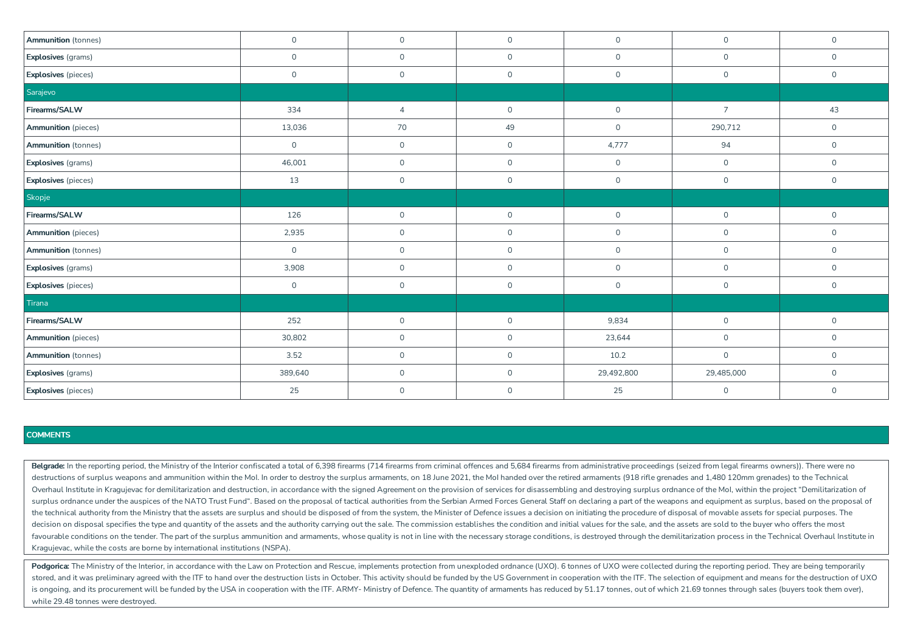| <b>Ammunition</b> (tonnes) | $\mathsf{O}\xspace$ | $\mathsf{O}$   | $\circ$      | $\mathbf 0$  | $\mathsf O$    | $\mathsf{O}\xspace$ |
|----------------------------|---------------------|----------------|--------------|--------------|----------------|---------------------|
|                            |                     |                |              |              |                |                     |
| Explosives (grams)         | $\mathsf{O}$        | $\mathsf{O}$   | $\circ$      | $\mathbf 0$  | $\mathsf{O}$   | $\mathsf{O}$        |
| Explosives (pieces)        | $\mathsf{O}\xspace$ | $\mathsf{O}$   | $\circ$      | $\mathsf{O}$ | $\mathsf O$    | $\overline{0}$      |
| Sarajevo                   |                     |                |              |              |                |                     |
| Firearms/SALW              | 334                 | $\overline{4}$ | $\mathsf{O}$ | $\mathsf{O}$ | $\overline{7}$ | 43                  |
| <b>Ammunition</b> (pieces) | 13,036              | 70             | 49           | $\mathsf{O}$ | 290,712        | $\mathsf{O}$        |
| Ammunition (tonnes)        | $\mathsf{O}$        | $\mathsf{O}$   | $\mathsf{O}$ | 4,777        | 94             | $\overline{0}$      |
| Explosives (grams)         | 46,001              | $\mathsf{O}$   | $\circ$      | $\mathsf{O}$ | $\mathsf O$    | $\mathsf{O}$        |
| Explosives (pieces)        | 13                  | $\mathsf{O}$   | $\circ$      | $\mathsf{O}$ | $\mathsf O$    | $\mathsf{O}$        |
| Skopje                     |                     |                |              |              |                |                     |
| Firearms/SALW              | 126                 | $\mathsf{O}$   | $\mathsf{O}$ | $\mathbf 0$  | $\mathsf{O}$   | $\mathsf{O}$        |
| <b>Ammunition</b> (pieces) | 2,935               | $\mathsf{O}$   | $\mathsf{O}$ | $\mathsf{O}$ | $\mathsf{O}$   | $\mathsf{O}$        |
| <b>Ammunition</b> (tonnes) | $\mathsf{O}\xspace$ | $\mathsf{O}$   | $\circ$      | $\mathsf{O}$ | $\mathsf{O}$   | $\mathsf{O}$        |
| Explosives (grams)         | 3,908               | $\mathsf{O}$   | $\mathsf{O}$ | $\mathbf 0$  | $\mathsf{O}$   | $\mathsf{O}$        |
| Explosives (pieces)        | $\mathsf{O}\xspace$ | $\mathsf{O}$   | $\mathsf{O}$ | $\mathsf{O}$ | $\mathsf O$    | $\overline{0}$      |
| Tirana                     |                     |                |              |              |                |                     |
| Firearms/SALW              | 252                 | $\mathsf{O}$   | $\mathsf{O}$ | 9,834        | $\mathsf O$    | $\mathsf{O}$        |
| <b>Ammunition</b> (pieces) | 30,802              | $\mathsf{O}$   | $\mathsf{O}$ | 23,644       | $\mathsf{O}$   | $\mathsf{O}$        |
| <b>Ammunition</b> (tonnes) | 3.52                | $\mathsf{O}$   | $\mathsf{O}$ | 10.2         | $\mathsf{O}$   | $\overline{0}$      |
| <b>Explosives</b> (grams)  | 389,640             | $\mathsf{O}$   | $\mathsf{O}$ | 29,492,800   | 29,485,000     | $\mathsf{O}$        |
| Explosives (pieces)        | 25                  | $\mathsf{O}$   | $\mathsf{O}$ | 25           | $\mathsf O$    | $\overline{0}$      |

Belarade: In the reporting period, the Ministry of the Interior confiscated a total of 6.398 firearms (714 firearms from criminal offences and 5.684 firearms from administrative proceedings (seized from legal firearms owne destructions of surplus weapons and ammunition within the MoI. In order to destroy the surplus armaments, on 18 June 2021, the MoI handed over the retired armaments (918 rifle grenades and 1,480 120mm grenades) to the Tech Overhaul Institute in Kragujevac for demilitarization and destruction, in accordance with the signed Agreement on the provision of services for disassembling and destroying surplus ordnance of the Mol, within the project " surplus ordnance under the auspices of the NATO Trust Fund". Based on the proposal of tactical authorities from the Serbian Armed Forces General Staff on declaring a part of the weapons and equipment as surplus, based on t the technical authority from the Ministry that the assets are surplus and should be disposed of from the system, the Minister of Defence issues a decision on initiating the procedure of disposal of movable assets for speci decision on disposal specifies the type and quantity of the assets and the authority carrying out the sale. The commission establishes the condition and initial values for the sale, and the assets are sold to the buyer who favourable conditions on the tender. The part of the surplus ammunition and armaments, whose quality is not in line with the necessary storage conditions, is destroyed through the demilitarization process in the Technical Kragujevac, while the costs are borne by international institutions (NSPA).

Podgorica: The Ministry of the Interior, in accordance with the Law on Protection and Rescue, implements protection from unexploded ordnance (UXO). 6 tonnes of UXO were collected during the reporting period. They are being stored, and it was preliminary agreed with the ITF to hand over the destruction lists in October. This activity should be funded by the US Government in cooperation with the ITF. The selection of equipment and means for th is ongoing, and its procurement will be funded by the USA in cooperation with the ITF. ARMY- Ministry of Defence. The quantity of armaments has reduced by 51.17 tonnes, out of which 21.69 tonnes through sales (buyers took while 29.48 tonnes were destroyed.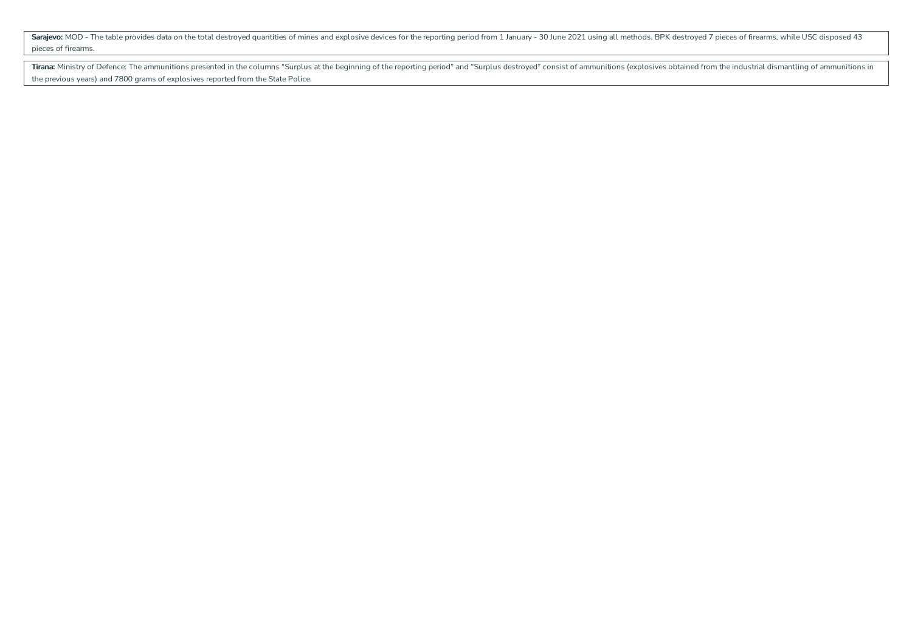Sarajevo: MOD - The table provides data on the total destroyed quantities of mines and explosive devices for the reporting period from 1 January - 30 June 2021 using all methods. BPK destroyed 7 pieces of firearms, while U pieces of firearms.

Tirana: Ministry of Defence: The ammunitions presented in the columns "Surplus at the beginning of the reporting period" and "Surplus destroyed" consist of ammunitions (explosives obtained from the industrial dismantling o the previous years) and 7800 grams of explosives reported from the State Police.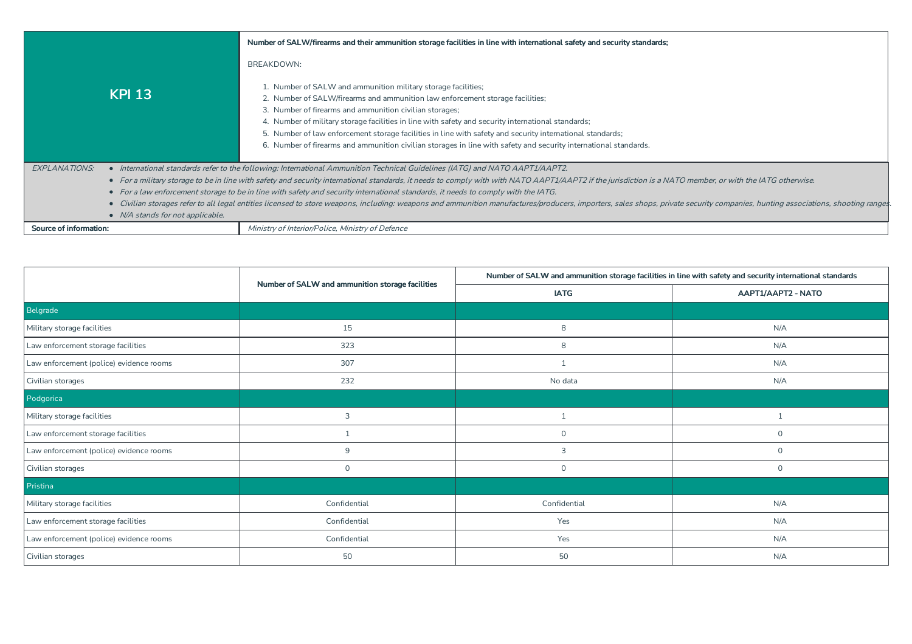|                                  | Number of SALW/firearms and their ammunition storage facilities in line with international safety and security standards;                                                                                                                                                                                                                                                                                                                                                                                                                        |
|----------------------------------|--------------------------------------------------------------------------------------------------------------------------------------------------------------------------------------------------------------------------------------------------------------------------------------------------------------------------------------------------------------------------------------------------------------------------------------------------------------------------------------------------------------------------------------------------|
|                                  | BREAKDOWN:                                                                                                                                                                                                                                                                                                                                                                                                                                                                                                                                       |
| <b>KPI 13</b>                    | 1. Number of SALW and ammunition military storage facilities;<br>2. Number of SALW/firearms and ammunition law enforcement storage facilities;<br>3. Number of firearms and ammunition civilian storages;<br>4. Number of military storage facilities in line with safety and security international standards;<br>5. Number of law enforcement storage facilities in line with safety and security international standards;<br>6. Number of firearms and ammunition civilian storages in line with safety and security international standards. |
| <b>EXPLANATIONS:</b>             | • International standards refer to the following: International Ammunition Technical Guidelines (IATG) and NATO AAPT1/AAPT2.                                                                                                                                                                                                                                                                                                                                                                                                                     |
|                                  | • For a military storage to be in line with safety and security international standards, it needs to comply with with NATO AAPT1/AAPT2 if the jurisdiction is a NATO member, or with the lATG otherwise.                                                                                                                                                                                                                                                                                                                                         |
|                                  | • For a law enforcement storage to be in line with safety and security international standards, it needs to comply with the IATG.                                                                                                                                                                                                                                                                                                                                                                                                                |
|                                  | Civilian storages refer to all legal entities licensed to store weapons, including: weapons and ammunition manufactures/producers, importers, sales shops, private security companies, hunting associations, shooting ranges                                                                                                                                                                                                                                                                                                                     |
| • N/A stands for not applicable. |                                                                                                                                                                                                                                                                                                                                                                                                                                                                                                                                                  |
| Source of information:           | Ministry of Interior/Police, Ministry of Defence                                                                                                                                                                                                                                                                                                                                                                                                                                                                                                 |

|                                         | Number of SALW and ammunition storage facilities |              | Number of SALW and ammunition storage facilities in line with safety and security international standards |  |  |
|-----------------------------------------|--------------------------------------------------|--------------|-----------------------------------------------------------------------------------------------------------|--|--|
|                                         |                                                  | <b>IATG</b>  | AAPT1/AAPT2 - NATO                                                                                        |  |  |
| Belgrade                                |                                                  |              |                                                                                                           |  |  |
| Military storage facilities             | 15                                               | 8            | N/A                                                                                                       |  |  |
| Law enforcement storage facilities      | 323                                              | 8            | N/A                                                                                                       |  |  |
| Law enforcement (police) evidence rooms | 307                                              |              | N/A                                                                                                       |  |  |
| Civilian storages                       | 232                                              | No data      | N/A                                                                                                       |  |  |
| Podgorica                               |                                                  |              |                                                                                                           |  |  |
| Military storage facilities             | 3                                                |              |                                                                                                           |  |  |
| Law enforcement storage facilities      |                                                  | $\mathbf 0$  | $\mathbf 0$                                                                                               |  |  |
| Law enforcement (police) evidence rooms | 9                                                | 3            | $\mathbf{0}$                                                                                              |  |  |
| Civilian storages                       | $\mathbf 0$                                      | $\mathsf{O}$ | $\mathbf 0$                                                                                               |  |  |
| Pristina                                |                                                  |              |                                                                                                           |  |  |
| Military storage facilities             | Confidential                                     | Confidential | N/A                                                                                                       |  |  |
| Law enforcement storage facilities      | Confidential                                     | Yes          | N/A                                                                                                       |  |  |
| Law enforcement (police) evidence rooms | Confidential                                     | Yes          | N/A                                                                                                       |  |  |
| Civilian storages                       | 50                                               | 50           | N/A                                                                                                       |  |  |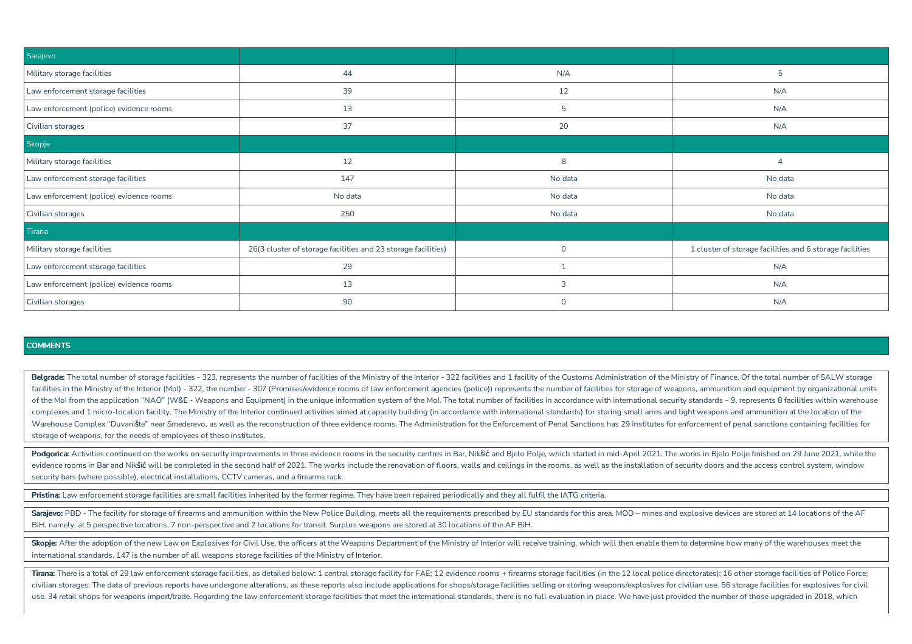| Sarajevo                                |                                                               |                |                                                          |  |  |
|-----------------------------------------|---------------------------------------------------------------|----------------|----------------------------------------------------------|--|--|
| Military storage facilities             | 44                                                            | N/A            | 5                                                        |  |  |
| Law enforcement storage facilities      | 39                                                            | 12             | N/A                                                      |  |  |
| Law enforcement (police) evidence rooms | 13                                                            | 5              | N/A                                                      |  |  |
| Civilian storages                       | 37                                                            | 20             | N/A                                                      |  |  |
| Skopje                                  |                                                               |                |                                                          |  |  |
| Military storage facilities             | 12                                                            | 8              | 4                                                        |  |  |
| Law enforcement storage facilities      | 147                                                           | No data        | No data                                                  |  |  |
| Law enforcement (police) evidence rooms | No data                                                       | No data        | No data                                                  |  |  |
| Civilian storages                       | 250                                                           | No data        | No data                                                  |  |  |
| Tirana                                  |                                                               |                |                                                          |  |  |
| Military storage facilities             | 26(3 cluster of storage facilities and 23 storage facilities) | $\mathbf 0$    | 1 cluster of storage facilities and 6 storage facilities |  |  |
| Law enforcement storage facilities      | 29                                                            |                | N/A                                                      |  |  |
| Law enforcement (police) evidence rooms | 13                                                            | $\overline{3}$ | N/A                                                      |  |  |
| Civilian storages                       | 90                                                            | $\mathbf 0$    | N/A                                                      |  |  |

Belgrade: The total number of storage facilities - 323, represents the number of facilities of the Ministry of the Interior - 322 facilities and 1 facility of the Customs Administration of the Ministry of Finance. Of the t facilities in the Ministry of the Interior (Mol) - 322, the number - 307 (Premises/evidence rooms of law enforcement agencies (police)) represents the number of facilities for storage of weapons, ammunition and equipment b of the Mol from the application "NAO" (W&E - Weapons and Equipment) in the unique information system of the Mol. The total number of facilities in accordance with international security standards - 9, represents 8 faciliti complexes and 1 micro-location facility. The Ministry of the Interior continued activities aimed at capacity building (in accordance with international standards) for storing small arms and light weapons and ammunition at Warehouse Complex "Duvanište" near Smederevo, as well as the reconstruction of three evidence rooms. The Administration for the Enforcement of Penal Sanctions has 29 institutes for enforcement of penal sanctions containing storage of weapons, for the needs of employees of these institutes.

Podgorica: Activities continued on the works on security improvements in three evidence rooms in the security centres in Bar, Nikšić and Bjelo Polje, which started in mid-April 2021. The works in Bjelo Polje finished on 29 evidence rooms in Bar and Nikšić will be completed in the second half of 2021. The works include the renovation of floors, walls and ceilings in the rooms, as well as the installation of security doors and the access contr security bars (where possible), electrical installations, CCTV cameras, and afirearms rack.

Pristina: Law enforcement storage facilities are small facilities inherited by the former regime. They have been repaired periodically and they all fulfil the IATG criteria.

Sarajevo: PBD - The facility for storage of firearms and ammunition within the New Police Building, meets all the requirements prescribed by EU standards for this area. MOD - mines and explosive devices are stored at 14 lo BiH, namely: at 5 perspective locations, 7 non-perspective and 2 locations for transit. Surplus weapons are stored at 30 locations of the AF BiH.

Skopje: After the adoption of the new Law on Explosives for Civil Use, the officers at the Weapons Department of the Ministry of Interior will receive training, which will then enable them to determine how many of the ware international standards. 147 is the number of all weapons storage facilities of the Ministry of Interior.

Tirana: There is a total of 29 law enforcement storage facilities, as detailed below: 1 central storage facility for FAE; 12 evidence rooms + firearms storage facilities (in the 12 local police directorates); 16 other stor civilian storages: The data of previous reports have undergone alterations, as these reports also include applications for shops/storage facilities selling or storing weapons/explosives for civilian use. 56 storage facilit use. 34 retail shops for weapons import/trade. Regarding the law enforcement storage facilities that meet the international standards, there is no full evaluation in place. We have just provided the number of those upgrade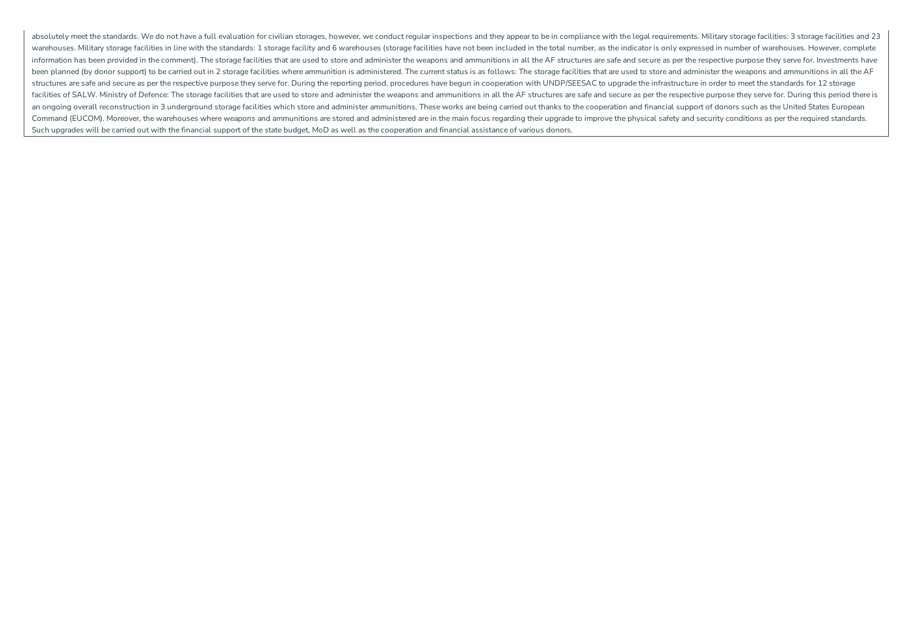absolutely meet the standards. We do not have a full evaluation for civilian storages, however, we conduct regular inspections and they appear to be in compliance with the legal requirements. Military storage facilities: 3 warehouses. Military storage facilities in line with the standards: 1 storage facility and 6 warehouses (storage facilities have not been included in the total number, as the indicator is only expressed in number of wareho information has been provided in the comment). The storage facilities that are used to store and administer the weapons and ammunitions in all the AF structures are safe and secure as per the respective purpose they serve been planned (by donor support) to be carried out in 2 storage facilities where ammunition is administered. The current status is as follows: The storage facilities that are used to store and administer the weapons and amm structures are safe and secure as per the respective purpose they serve for. During the reporting period, procedures have begun in cooperation with UNDP/SEESAC to upgrade the infrastructure in order to meet the standards f facilities of SALW. Ministry of Defence: The storage facilities that are used to store and administer the weapons and ammunitions in all the AF structures are safe and secure as per the respective purpose they serve for. D an ongoing overall reconstruction in 3 underground storage facilities which store and administer ammunitions. These works are being carried out thanks to the cooperation and financial support of donors such as the United S Command (EUCOM). Moreover, the warehouses where weapons and ammunitions are stored and administered are in the main focus regarding their upgrade to improve the physical safety and security conditions as per the required s Such upgrades will be carried out with the financial support of the state budget, MoD as well as the cooperation and financial assistance of various donors.